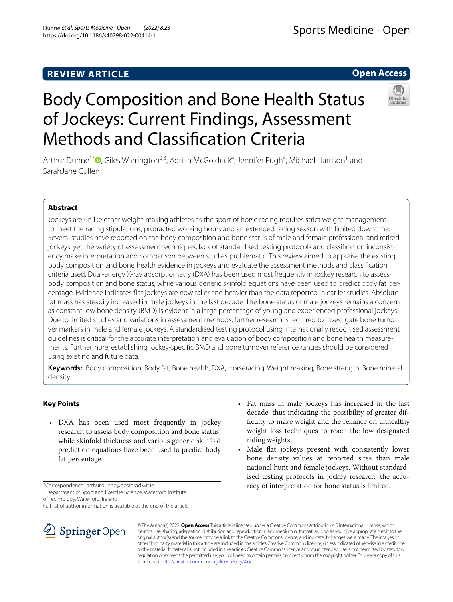## **REVIEW ARTICLE**

## Sports Medicine - Open

## **Open Access**



# Body Composition and Bone Health Status of Jockeys: Current Findings, Assessment Methods and Classifcation Criteria

Arthur Dunne<sup>1\*</sup><sup>®</sup>[,](http://orcid.org/0000-0002-1496-6696) Giles Warrington<sup>2,3</sup>, Adrian McGoldrick<sup>4</sup>, Jennifer Pugh<sup>4</sup>, Michael Harrison<sup>1</sup> and SarahJane Cullen<sup>1</sup>

## **Abstract**

Jockeys are unlike other weight-making athletes as the sport of horse racing requires strict weight management to meet the racing stipulations, protracted working hours and an extended racing season with limited downtime. Several studies have reported on the body composition and bone status of male and female professional and retired jockeys, yet the variety of assessment techniques, lack of standardised testing protocols and classifcation inconsistency make interpretation and comparison between studies problematic. This review aimed to appraise the existing body composition and bone health evidence in jockeys and evaluate the assessment methods and classifcation criteria used. Dual-energy X-ray absorptiometry (DXA) has been used most frequently in jockey research to assess body composition and bone status, while various generic skinfold equations have been used to predict body fat percentage. Evidence indicates fat jockeys are now taller and heavier than the data reported in earlier studies. Absolute fat mass has steadily increased in male jockeys in the last decade. The bone status of male jockeys remains a concern as constant low bone density (BMD) is evident in a large percentage of young and experienced professional jockeys. Due to limited studies and variations in assessment methods, further research is required to investigate bone turnover markers in male and female jockeys. A standardised testing protocol using internationally recognised assessment guidelines is critical for the accurate interpretation and evaluation of body composition and bone health measurements. Furthermore, establishing jockey-specifc BMD and bone turnover reference ranges should be considered using existing and future data.

**Keywords:** Body composition, Body fat, Bone health, DXA, Horseracing, Weight making, Bone strength, Bone mineral density

## **Key Points**

- DXA has been used most frequently in jockey research to assess body composition and bone status, while skinfold thickness and various generic skinfold prediction equations have been used to predict body fat percentage.
- \*Correspondence: arthur.dunne@postgrad.wit.ie

<sup>1</sup> Department of Sport and Exercise Science, Waterford Institute of Technology, Waterford, Ireland

Full list of author information is available at the end of the article



- Fat mass in male jockeys has increased in the last decade, thus indicating the possibility of greater diffculty to make weight and the reliance on unhealthy weight loss techniques to reach the low designated riding weights.
- Male flat jockeys present with consistently lower bone density values at reported sites than male national hunt and female jockeys. Without standardised testing protocols in jockey research, the accuracy of interpretation for bone status is limited.

© The Author(s) 2022. **Open Access** This article is licensed under a Creative Commons Attribution 4.0 International License, which permits use, sharing, adaptation, distribution and reproduction in any medium or format, as long as you give appropriate credit to the original author(s) and the source, provide a link to the Creative Commons licence, and indicate if changes were made. The images or other third party material in this article are included in the article's Creative Commons licence, unless indicated otherwise in a credit line to the material. If material is not included in the article's Creative Commons licence and your intended use is not permitted by statutory regulation or exceeds the permitted use, you will need to obtain permission directly from the copyright holder. To view a copy of this licence, visit [http://creativecommons.org/licenses/by/4.0/.](http://creativecommons.org/licenses/by/4.0/)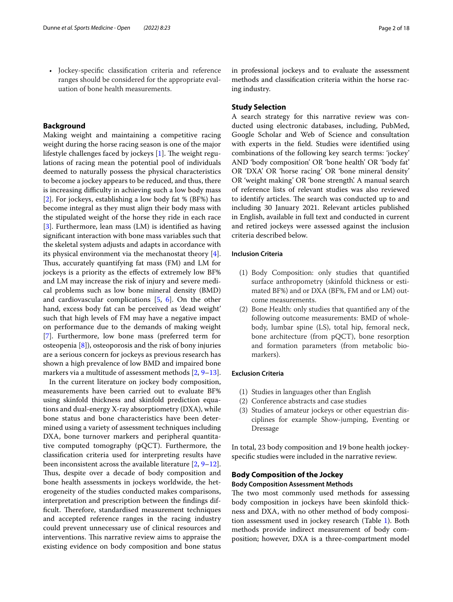• Jockey-specifc classifcation criteria and reference ranges should be considered for the appropriate evaluation of bone health measurements.

#### **Background**

Making weight and maintaining a competitive racing weight during the horse racing season is one of the major lifestyle challenges faced by jockeys  $[1]$  $[1]$ . The weight regulations of racing mean the potential pool of individuals deemed to naturally possess the physical characteristics to become a jockey appears to be reduced, and thus, there is increasing difficulty in achieving such a low body mass [[2\]](#page-16-1). For jockeys, establishing a low body fat % (BF%) has become integral as they must align their body mass with the stipulated weight of the horse they ride in each race [[3\]](#page-16-2). Furthermore, lean mass (LM) is identified as having signifcant interaction with bone mass variables such that the skeletal system adjusts and adapts in accordance with its physical environment via the mechanostat theory [\[4](#page-16-3)]. Thus, accurately quantifying fat mass (FM) and LM for jockeys is a priority as the efects of extremely low BF% and LM may increase the risk of injury and severe medical problems such as low bone mineral density (BMD) and cardiovascular complications [[5,](#page-16-4) [6\]](#page-16-5). On the other hand, excess body fat can be perceived as 'dead weight' such that high levels of FM may have a negative impact on performance due to the demands of making weight [[7\]](#page-16-6). Furthermore, low bone mass (preferred term for osteopenia [[8\]](#page-16-7)), osteoporosis and the risk of bony injuries are a serious concern for jockeys as previous research has shown a high prevalence of low BMD and impaired bone markers via a multitude of assessment methods [[2,](#page-16-1) [9](#page-16-8)[–13](#page-16-9)].

In the current literature on jockey body composition, measurements have been carried out to evaluate BF% using skinfold thickness and skinfold prediction equations and dual-energy X-ray absorptiometry (DXA), while bone status and bone characteristics have been determined using a variety of assessment techniques including DXA, bone turnover markers and peripheral quantitative computed tomography (pQCT). Furthermore, the classifcation criteria used for interpreting results have been inconsistent across the available literature [[2,](#page-16-1) [9](#page-16-8)[–12](#page-16-10)]. Thus, despite over a decade of body composition and bone health assessments in jockeys worldwide, the heterogeneity of the studies conducted makes comparisons, interpretation and prescription between the fndings difficult. Therefore, standardised measurement techniques and accepted reference ranges in the racing industry could prevent unnecessary use of clinical resources and interventions. This narrative review aims to appraise the existing evidence on body composition and bone status in professional jockeys and to evaluate the assessment methods and classifcation criteria within the horse racing industry.

#### **Study Selection**

A search strategy for this narrative review was conducted using electronic databases, including, PubMed, Google Scholar and Web of Science and consultation with experts in the feld. Studies were identifed using combinations of the following key search terms: 'jockey' AND 'body composition' OR 'bone health' OR 'body fat' OR 'DXA' OR 'horse racing' OR 'bone mineral density' OR 'weight making' OR 'bone strength'. A manual search of reference lists of relevant studies was also reviewed to identify articles. The search was conducted up to and including 30 January 2021. Relevant articles published in English, available in full text and conducted in current and retired jockeys were assessed against the inclusion criteria described below.

#### **Inclusion Criteria**

- (1) Body Composition: only studies that quantifed surface anthropometry (skinfold thickness or estimated BF%) and or DXA (BF%, FM and or LM) outcome measurements.
- (2) Bone Health: only studies that quantifed any of the following outcome measurements: BMD of wholebody, lumbar spine (LS), total hip, femoral neck, bone architecture (from pQCT), bone resorption and formation parameters (from metabolic biomarkers).

#### **Exclusion Criteria**

- (1) Studies in languages other than English
- (2) Conference abstracts and case studies
- (3) Studies of amateur jockeys or other equestrian disciplines for example Show-jumping, Eventing or Dressage

In total, 23 body composition and 19 bone health jockeyspecifc studies were included in the narrative review.

#### **Body Composition of the Jockey Body Composition Assessment Methods**

### The two most commonly used methods for assessing body composition in jockeys have been skinfold thickness and DXA, with no other method of body composition assessment used in jockey research (Table [1\)](#page-2-0). Both methods provide indirect measurement of body composition; however, DXA is a three-compartment model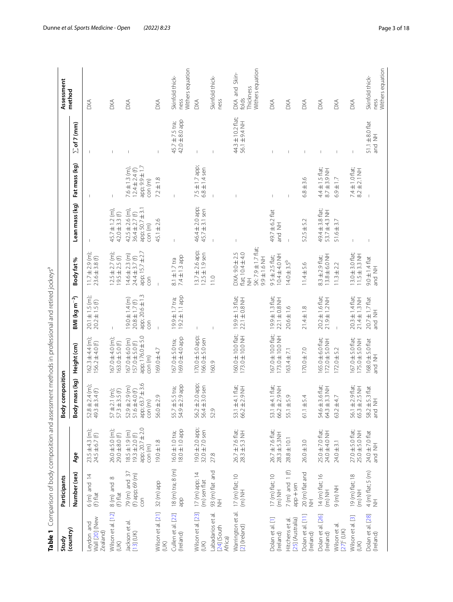<span id="page-2-0"></span>

| さく<br>١                                                                |
|------------------------------------------------------------------------|
|                                                                        |
| i<br>j<br>1                                                            |
| I<br>j                                                                 |
| Ò<br>֖֖֖֖֖ׅ֧ׅׅ֪ׅ֪֧֚֚֚֚֚֚֚֚֚֚֚֚֚֚֚֚֚֚֚֚֚֚֚֚֚֡֬֝֘֝֬֓֡֞֡֝֓֞֡֡֬֓֞֓֡֡֬<br>ł |
|                                                                        |
| 5                                                                      |
| $\ddot{\phantom{a}}$                                                   |
|                                                                        |
| í                                                                      |
| Ī                                                                      |
| ļ                                                                      |
| $\overline{\phantom{a}}$<br>١                                          |
|                                                                        |
| í                                                                      |
|                                                                        |
| ここく<br>֖֖֖֖֖֧ׅׅ֪֪ׅ֖ׅ֖֚֚֚֚֚֚֚֚֚֚֚֚֚֚֚֚֚֚֚֚֚֚֚֚֡֝֝֟֓֡֞<br>ı              |
| Í                                                                      |
|                                                                        |
|                                                                        |
| ;<br>ג                                                                 |
| ļ                                                                      |
| í<br>í                                                                 |
|                                                                        |
| scrmant mathand<br>$\frac{1}{2}$                                       |
|                                                                        |
| 1                                                                      |
|                                                                        |
|                                                                        |
|                                                                        |
|                                                                        |
|                                                                        |
| ۱                                                                      |
| ΰ<br>¢                                                                 |
| Ç<br>١                                                                 |
| í<br>i<br>l                                                            |
|                                                                        |
| $\frac{1}{2}$                                                          |
| ٢                                                                      |
|                                                                        |
| במה המה                                                                |
|                                                                        |
| $\sim$ $\sim$ $\sim$ $\sim$ $\sim$<br>ׇ֘֝֬֝<br>j                       |
| ׇ֚֬֡                                                                   |
|                                                                        |
|                                                                        |
| J                                                                      |
| )<br>$\overline{\phantom{0}}$                                          |
|                                                                        |
| 5<br>J                                                                 |
|                                                                        |
| $+$ $\sim$ $\sim$                                                      |
|                                                                        |
|                                                                        |
|                                                                        |
|                                                                        |
| l                                                                      |
| ļ                                                                      |
| í                                                                      |
|                                                                        |
| 3<br>I                                                                 |
|                                                                        |
| v                                                                      |
| Table                                                                  |
|                                                                        |
|                                                                        |
|                                                                        |
|                                                                        |

| Study                                            | Participants                            |                                                                                                  | composition<br><b>body</b>                                            |                                                                          |                                                                  |                                                                                                 |                                                                        |                                                                    |                                       | Assessment                                              |
|--------------------------------------------------|-----------------------------------------|--------------------------------------------------------------------------------------------------|-----------------------------------------------------------------------|--------------------------------------------------------------------------|------------------------------------------------------------------|-------------------------------------------------------------------------------------------------|------------------------------------------------------------------------|--------------------------------------------------------------------|---------------------------------------|---------------------------------------------------------|
| (country)                                        | Number (sex)                            | Age                                                                                              | Body mass (kg)                                                        | Height (cm)                                                              | BMI (kg m <sup>-2</sup> )                                        | Body fat %                                                                                      | Lean mass (kg)                                                         | Fat mass (kg)                                                      | $\sum$ of 7 (mm)                      | method                                                  |
| Wall [20] (New<br>Leydon and<br>Zealand)         | $6$ (m) and 14<br>(f) flat              | $23.5 \pm 4.3$ (m);<br>$24.5 \pm 6.7$ (f)                                                        | $52.8 \pm 2.4$ (m);<br>49.3 $\pm$ 3.4 (f)                             | $162.3 \pm 4.4$ (m);<br>$156.2 \pm 4.0$ (f)                              | $20.1 \pm 1.5$ (m);<br>$20.2 \pm 1.5$ (f)                        | 11.7 ± 2.9 (m);<br>23.6 ± 3.8 (f)                                                               |                                                                        |                                                                    |                                       | DХА                                                     |
| Wilson et al. [12]<br>(1)                        | $8$ (m) and $8$<br>$(f)$ flat           | $26.0 \pm 5.0$ (m);<br>29.0±8.0(f)                                                               | $21 (m)$ ;<br>$57 \pm 2.1$ (m);<br>$57.3 \pm 3.5$ (f)                 | $167.0 \pm 4.0$ (m);<br>$163.0 \pm 5.0$ (f)                              | $\mathbb{I}$                                                     | $12.5 \pm 2.7$ (m);<br>$19.5 \pm 2.5$ (f)                                                       | $45.7 \pm 1.2$ (m),<br>$42.0 \pm 3.3$ (f)                              | $\mathbb{L}$                                                       |                                       | DXA                                                     |
| Jackson et al.<br>$[13] (UK)$                    | 79 (m) and 37<br>(f) app; 69 (m)<br>con | $\circ$<br>app; 20.7 ± 2.<br>$18.5 \pm 1.9 \, \text{(m)}$ $19.3 \pm 2.0 \, \text{(f)}$<br>con(m) | $63.7 \pm 3.6$<br>$52.9 \pm 2.9$ (m)<br>51.6±4.0(f)<br>con(m)<br>app; | app; 176.0 ± 5.0<br>$167.0 \pm 6.0$ (m)<br>$157.0 \pm 5.0$ (f)<br>con(m) | app; 20.6±1.3<br>$19.0 \pm 1.4$ (m)<br>$20.8 \pm 1.7$ (f)<br>con | app; 15.7 ± 2.7<br>$14.6 \pm 2.3$ (m)<br>$24.4 \pm 3.7$ (f)<br>con                              | app; 50.7 ± 3.1<br>$42.5 \pm 2.6$ (m),<br>$36.4 \pm 2.7$ (f)<br>con(m) | app; 9.9±1.7<br>$7.6 \pm 1.3$ (m),<br>$12.4 \pm 2.4$ (f)<br>con(m) |                                       | DXA                                                     |
| Wilson et al. [21]<br>(XU)                       | 32 (m) app                              | $19.0 \pm 1.8$                                                                                   | $56.0 \pm 2.9$                                                        | $169.0 + 4.7$                                                            | $\overline{1}$                                                   | $\mathbb{I}$                                                                                    | $45.1 \pm 2.6$                                                         | $7.2 \pm 1.8$                                                      | $\mathsf I$                           | <b>DXA</b>                                              |
| Cullen et al. [22]<br>(Ireland)                  | 18 (m) tra; 8 (m)<br>dde                | $18.0 \pm 1.0$ app<br>16.0±1.0 tra;                                                              | $55.7 \pm 5.5$ tra;<br>$54.9 \pm 2.9$ app                             | 169.0±4.0 app<br>$167.0 \pm 5.0$ tra;                                    | $19.2 \pm 1.1$ app<br>19.9±1.7 tra;                              | 7.4±1.3 app<br>$8.1 \pm 1.7$ tra                                                                | $\mathsf I$                                                            | $\overline{1}$                                                     | $42.0 \pm 8.0$ app<br>45.7 ± 7.5 tra; | Withers equation<br>Skinfold thick-<br>ness             |
| Wilson et al. [23]<br>(UK)                       | 17 (m) app; 14<br>(m) sen flat          | $19.0 \pm 2.0$ app;<br>32.0 $\pm$ 7.0 sen                                                        | 56.2±2.0 app;<br>56.4±3.0 sen                                         | 170.0 ± 5.0 app;<br>166.0 ± 5.0 sen                                      |                                                                  | $13.7 \pm 2.6$ app;<br>$12.5 \pm 1.9$ sen                                                       | 46.4 ± 2.0 app;<br>$45.7 \pm 3.1$ sen                                  | $7.5 \pm 1.7$ app;<br>$6.8 \pm 1.4$ sen                            |                                       | <b>DXA</b>                                              |
| et al.<br>Labadarios<br>$[24]$ (South<br>Africa) | 93 (m) flat and<br>NH                   | 27.8                                                                                             | 52.9                                                                  | 160.9                                                                    |                                                                  | 11.0                                                                                            |                                                                        |                                                                    |                                       | Skinfold thick-<br>ness                                 |
| Warrington et al.<br>[2] (Ireland)               | 17 (m) flat; 10<br>$(m)$ NH             | $26.7 \pm 7.6$ flat;<br>$28.3 \pm 5.3$ NH                                                        | 53.1 ±4.1 flat;<br>66.2±2.9 NH                                        | 160.0 ± 10.0 flat;<br>173.0±10.0NH                                       | $19.9 \pm 1.3$ flat;<br>22.1±0.8 NH                              | SK: 7.9 ± 1.7 flat;<br>flat; 10.4 ± 4.0<br>DXA: 9.0 ± 2.5<br>$-9.9 \pm 1.6$ NH<br>$\frac{1}{2}$ | $\mathbf{I}$                                                           |                                                                    | 44.3 ± 10.2 flat;<br>56.1 ± 9.4 NH    | Withers equation<br>DXA and Skin-<br>Thickness<br>folds |
| Dolan et al. [1]<br>(Ireland)                    | 17 (m) flat; 10<br>$(m)$ NH             | 26.7 ± 7.6 flat;<br>28.3 ± 5.3NH                                                                 | 53.1 ±4.1 flat;<br>66.2±2.9 NH                                        | $167.0 \pm 10.0$ flat;<br>173.0±10.0 NH                                  | $19.9 \pm 1.3$ flat;<br>22.1±0.8NH                               | 10.4 ± 4.0 NH<br>$95 \pm 2.5$ flat;                                                             | 49.7 ± 6.2 flat<br>and NH                                              | $\mathsf I$                                                        |                                       | DXA                                                     |
| [25] (Australia)<br>Hitchens et al.              | $7(m)$ and $1(f)$<br>$app +$ sen        | $28.8 \pm 10.1$                                                                                  | $55.1 \pm 5.9$                                                        | 163.4±7.1                                                                | $20.6 \pm 1.6$                                                   | $14.0 \pm 3.5^{b}$                                                                              | $\mathsf{I}$                                                           |                                                                    |                                       | DXA                                                     |
| Dolan et al. [11]<br>(Ireland)                   | 20 (m) flat and<br>$\bar{\bar{z}}$      | $26.0 \pm 3.0$                                                                                   | $61.1 \pm 5.4$                                                        | $170.0 + 7.0$                                                            | $21.4 \pm 1.8$                                                   | $11.4 \pm 5.6$                                                                                  | $52.5 \pm 5.2$                                                         | $6.8 \pm 3.6$                                                      |                                       | DXA                                                     |
| Dolan et al. [26]<br>(Ireland)                   | 14 (m) flat; 16<br>$(m)$ NH             | 25.0 ± 7.0 flat;<br>24.0±4.0 NH                                                                  | 54.6 ± 3.6 flat;<br>$64.3 \pm 3.3$ NH                                 | $65.0 \pm 6.0$ flat;<br>172.0±5.0 NH                                     | $20.2 \pm 1.6$ flat;<br>$21.9 \pm 1.2$ NH                        | 13.8 ± 6.0 NH<br>$8.3 \pm 2.9$ flat;                                                            | 49.4 ± 3.8 flat;<br>53.7 ±4.3 NH                                       | $4.4 \pm 1.5$ flat;<br>$8.7 \pm 3.9$ NH                            |                                       | DXA                                                     |
| Wilson et al.<br>$[27]$ <sup>c</sup> $(UK)$      | HN (m) 6                                | $24.0 \pm 3.1$                                                                                   | $63.2 + 4.7$                                                          | $172.0 \pm 5.2$                                                          |                                                                  | $11.3 \pm 2.2$                                                                                  | $51.6 \pm 3.7$                                                         | $6.9 \pm 1.7$                                                      | $\overline{1}$                        | DXA                                                     |
| Wilson et al. [3]<br>(X)                         | 19 (m) flat; 18<br>$(m)$ NH             | $27.0 \pm 5.0$ flat;<br>$25.0 \pm 5.0$ NH                                                        | 56.1 ± 2.9 flat;<br>65.3 ± 2.5 NH                                     | $167.0 \pm 5.0$ flat;<br>175.0±5.0 NH                                    | $20.3 \pm 1.4$ flat;<br>21.4±1.3 NH                              | $13.0 \pm 3.0$ flat;<br>$11.5 \pm 3.3$ NH                                                       | $\mathbb I$                                                            | 7.4 $\pm$ 1.0 flat;<br>8.2 $\pm$ 2.1 NH                            | $\mathbb{I}$                          | DXA                                                     |
| Dolan et al. [28]<br>(Ireland)                   | $4(m)$ flat; $5(m)$<br>$\frac{1}{2}$    | 24.0 ± 7.0 flat<br>and NH                                                                        | 58.2 ± 5.3 flat<br>$\frac{1}{2}$<br>and                               | 168.0 ± 5.0 flat<br>HIN pue                                              | $20.7 \pm 1.7$ flat<br>and NH                                    | $9.0 \pm 1.4$ flat<br>and NH                                                                    | $\overline{\phantom{a}}$                                               |                                                                    | $51.1 \pm 8.0$ flat<br>and NH         | Withers equation<br>Skinfold thick-<br>ness             |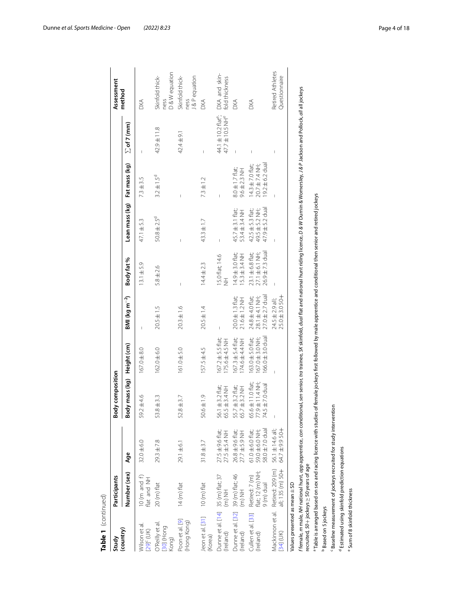| Table 1 (continued)                            |                                                                 |                                                                   |                                                                                                                                                                                                                                          |                                                                      |                                                        |                                                                   |                                                                                                     |                                                               |                                                                |                                         |
|------------------------------------------------|-----------------------------------------------------------------|-------------------------------------------------------------------|------------------------------------------------------------------------------------------------------------------------------------------------------------------------------------------------------------------------------------------|----------------------------------------------------------------------|--------------------------------------------------------|-------------------------------------------------------------------|-----------------------------------------------------------------------------------------------------|---------------------------------------------------------------|----------------------------------------------------------------|-----------------------------------------|
| Study                                          | Participants                                                    |                                                                   | <b>Body composition</b>                                                                                                                                                                                                                  |                                                                      |                                                        |                                                                   |                                                                                                     |                                                               |                                                                | Assessment                              |
| (country)                                      | Number (sex)                                                    | Age                                                               | Body mass (kg)                                                                                                                                                                                                                           | Height (cm)                                                          | BMI (kg m <sup>-2</sup> )                              | Body fat %                                                        | Lean mass (kg)                                                                                      | Fat mass (kg)                                                 | $\sum$ of 7 (mm)                                               | method                                  |
| Wilson et al.<br>[29] <sup>c</sup> (UK)        | 10 (m and f)<br>flat and NH                                     | $32.0 \pm 6.0$                                                    | $.2 + 4.6$<br>SS.                                                                                                                                                                                                                        | $167.0 + 8.0$                                                        | Ï                                                      | $13.1 \pm 5.9$                                                    | 47.1 ±5.3                                                                                           | $7.3 \pm 3.5$                                                 | Ï                                                              | <b>DXA</b>                              |
| O'Reilly et al<br>Bull (Hong<br>Kong)          | 20 (m) flat                                                     | $29.3 \pm 7.8$                                                    | $8 + 3.3$<br>53.                                                                                                                                                                                                                         | $162.0 \pm 6.0$                                                      | $20.5 \pm 1.5$                                         | $5.8 \pm 2.6$                                                     | $50.8 \pm 2.5^{\circ}$                                                                              | $3.2 \pm 1.5^{\circ}$                                         | 42.9±11.8                                                      | D&W equation<br>Skinfold thick-<br>ness |
| Poon et al. [9]<br>(Hong Kong)                 | 14 (m) flat                                                     | $29.1 \pm 6.1$                                                    | $.8 + 3.7$<br>52.                                                                                                                                                                                                                        | $161.0 \pm 5.0$                                                      | $20.3 \pm 1.6$                                         |                                                                   |                                                                                                     |                                                               | 42.4±9.1                                                       | J&Pequation<br>Skinfold thick-<br>ness  |
| Jeon et al. [31]<br>(Korea)                    | $10 \text{ (m)}$ flat                                           | $31.8 \pm 3.7$                                                    | $0.6 \pm 1.9$<br>SÓ.                                                                                                                                                                                                                     | $157.5 \pm 4.5$                                                      | $20.5 \pm 1.4$                                         | $14.4 \pm 2.3$                                                    | $43.3 \pm 1.7$                                                                                      | $7.3 \pm 1.2$                                                 | f,                                                             | <b>DXA</b>                              |
| Dunne et al. [14] 35 (m) flat; 37<br>(Ireland) | $\overline{m}$ (in)                                             | $27.5 \pm 9.6$ flat;<br>$27.5 \pm 5.4$ NH                         | 56.1 ± 3.2 flat;<br>65.5±3.4 NH                                                                                                                                                                                                          | $167.2 \pm 5.5$ flat;<br>175.6±4.5 NH                                | $\overline{1}$                                         | 15.0 flat; 14.6<br>H                                              | $\overline{1}$                                                                                      | $\begin{array}{c} \hline \end{array}$                         | 44.1 ± 10.2 flat <sup>e</sup> ;<br>47.7 ± 10.5 NH <sup>e</sup> | DXA and skin-<br>fold thickness         |
| Dunne et al. [32]<br>(Ireland)                 | ] 39 (m) flat; 46<br>(m) NH                                     | $26.8 \pm 9.6$ flat;<br>$27.7 \pm 5.9$ NH                         | $55.7 \pm 3.2$ flat;<br>$65.7 \pm 3.2$ NH                                                                                                                                                                                                | $167.3 \pm 5.4$ flat;<br>I74.6±4.4 NH                                | $20.0 \pm 1.3$ flat;<br>$21.6 \pm 1.2$ NH              | $14.9 \pm 3.0$ flat;<br>$15.3 \pm 3.4$ NH                         | $45.7 \pm 3.1$ flat;<br>53.4±3.4 NH                                                                 | $8.0 \pm 1.7$ flat;<br>$9.6 \pm 2.3$ NH                       | $\overline{1}$                                                 | DXA                                     |
| Cullen et al. [33]<br>(Ireland)                | Retired: 7 (m)<br>flat; 12 (m) NH;<br>9 (m) dual                | $61.0 \pm 6.0$ flat;<br>59.0 $\pm$ 6.0 NH;<br>58.0 $\pm$ 7.0 dual | $65.6 \pm 11.0$ flat;<br>77.9 $\pm$ 11.4 NH;<br>74.5 $\pm$ 7.0 dual                                                                                                                                                                      | $166.0 \pm 3.0$ dual<br>$163.0 \pm 5.0$ flat;<br>$167.0 \pm 3.0$ NH; | $27.0 \pm 2.7$ dual<br>24.8 ±4.0 flat;<br>28.1±4.1 NH; | $23.1 \pm 6.8$ flat;<br>$27.1 \pm 6.1$ NH;<br>$26.9 \pm 7.3$ dual | $47.9 \pm 5.2$ dua<br>$42.5 \pm 5.3$ flat;<br>$49.5 \pm 5.2$ NH;                                    | $19.2 \pm 6.2$ dual<br>$14.3 \pm 7.0$ flat;<br>20.7 ± 7.4 NH; |                                                                | <b>DXA</b>                              |
|                                                | Mackinnon et al. Retired: 209 (m)<br>[34] (UK) all; 135 (m) 50+ | 56.1 ± 14.6 all;<br>64.7 ± 9.9 50+                                | $\overline{1}$                                                                                                                                                                                                                           |                                                                      | $25.0 \pm 3.050 +$<br>24.5 ± 2.9 all;                  |                                                                   |                                                                                                     |                                                               | I                                                              | Retired Athletes<br>Questionnaire       |
| Values presented as mean ± SD                  | recruited, 50+jockeys ≥ 50 years of age                         |                                                                   | ffemale, <i>m</i> male, MH national hunt, <i>app</i> apprentice, con conditional, sen senior, tra trainee, SK skinfold, dual flat and national hunt riding licence, D & W Durnin & Womersley, J & P Jackson and Pollock, all all jockeys |                                                                      |                                                        |                                                                   |                                                                                                     |                                                               |                                                                |                                         |
| Based on 5 jockeys                             |                                                                 | Table is arranged based on sex and racing licence with studies    |                                                                                                                                                                                                                                          |                                                                      |                                                        |                                                                   | of female jockeys first followed by male apprentice and conditional then senior and retired jockeys |                                                               |                                                                |                                         |
|                                                |                                                                 | Baseline measurement of jockeys recruited for study intervention  |                                                                                                                                                                                                                                          |                                                                      |                                                        |                                                                   |                                                                                                     |                                                               |                                                                |                                         |
| <sup>e</sup> Sum of 8 skinfold thickness       | <sup>d</sup> Estimated using skinfold prediction equations      |                                                                   |                                                                                                                                                                                                                                          |                                                                      |                                                        |                                                                   |                                                                                                     |                                                               |                                                                |                                         |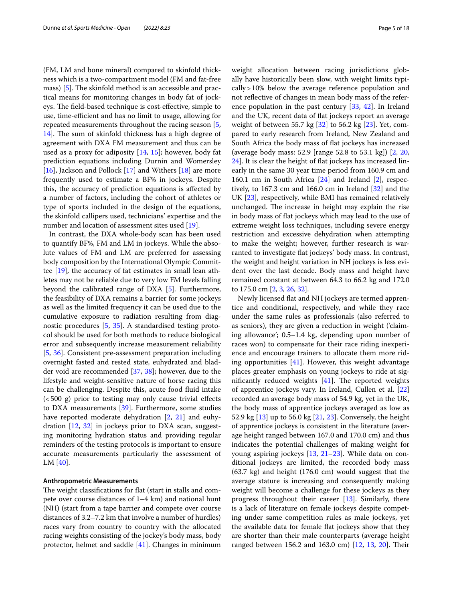(FM, LM and bone mineral) compared to skinfold thickness which is a two-compartment model (FM and fat-free mass)  $[5]$  $[5]$ . The skinfold method is an accessible and practical means for monitoring changes in body fat of jockeys. The field-based technique is cost-effective, simple to use, time-efficient and has no limit to usage, allowing for repeated measurements throughout the racing season [\[5](#page-16-4),  $14$ ]. The sum of skinfold thickness has a high degree of agreement with DXA FM measurement and thus can be used as a proxy for adiposity [\[14,](#page-16-18) [15](#page-16-19)]; however, body fat prediction equations including Durnin and Womersley [[16\]](#page-16-20), Jackson and Pollock [[17\]](#page-16-21) and Withers [\[18\]](#page-16-22) are more frequently used to estimate a BF% in jockeys. Despite this, the accuracy of prediction equations is afected by a number of factors, including the cohort of athletes or type of sports included in the design of the equations, the skinfold callipers used, technicians' expertise and the number and location of assessment sites used [[19](#page-16-23)].

In contrast, the DXA whole-body scan has been used to quantify BF%, FM and LM in jockeys. While the absolute values of FM and LM are preferred for assessing body composition by the International Olympic Committee [\[19](#page-16-23)], the accuracy of fat estimates in small lean athletes may not be reliable due to very low FM levels falling beyond the calibrated range of DXA [\[5](#page-16-4)]. Furthermore, the feasibility of DXA remains a barrier for some jockeys as well as the limited frequency it can be used due to the cumulative exposure to radiation resulting from diagnostic procedures [[5,](#page-16-4) [35](#page-17-9)]. A standardised testing protocol should be used for both methods to reduce biological error and subsequently increase measurement reliability [[5,](#page-16-4) [36\]](#page-17-10). Consistent pre-assessment preparation including overnight fasted and rested state, euhydrated and bladder void are recommended [\[37,](#page-17-11) [38](#page-17-12)]; however, due to the lifestyle and weight-sensitive nature of horse racing this can be challenging. Despite this, acute food fuid intake  $( $500 \text{ g}$ ) prior to testing may only cause trivial effects$ to DXA measurements [[39](#page-17-13)]. Furthermore, some studies have reported moderate dehydration [\[2](#page-16-1), [21\]](#page-16-12) and euhydration [[12](#page-16-10), [32](#page-17-6)] in jockeys prior to DXA scan, suggesting monitoring hydration status and providing regular reminders of the testing protocols is important to ensure accurate measurements particularly the assessment of LM [[40\]](#page-17-14).

#### **Anthropometric Measurements**

The weight classifications for flat (start in stalls and compete over course distances of 1–4 km) and national hunt (NH) (start from a tape barrier and compete over course distances of 3.2–7.2 km that involve a number of hurdles) races vary from country to country with the allocated racing weights consisting of the jockey's body mass, body protector, helmet and saddle [[41\]](#page-17-15). Changes in minimum weight allocation between racing jurisdictions globally have historically been slow, with weight limits typically>10% below the average reference population and not reflective of changes in mean body mass of the reference population in the past century [\[33](#page-17-7), [42\]](#page-17-16). In Ireland and the UK, recent data of fat jockeys report an average weight of between 55.7 kg [\[32](#page-17-6)] to 56.2 kg [[23\]](#page-16-14). Yet, compared to early research from Ireland, New Zealand and South Africa the body mass of fat jockeys has increased (average body mass: 52.9 [range 52.8 to 53.1 kg]) [\[2,](#page-16-1) [20](#page-16-11), [24\]](#page-16-15). It is clear the height of fat jockeys has increased linearly in the same 30 year time period from 160.9 cm and 160.1 cm in South Africa  $[24]$  and Ireland  $[2]$  $[2]$ , respectively, to 167.3 cm and 166.0 cm in Ireland [[32\]](#page-17-6) and the UK [[23\]](#page-16-14), respectively, while BMI has remained relatively unchanged. The increase in height may explain the rise in body mass of fat jockeys which may lead to the use of extreme weight loss techniques, including severe energy restriction and excessive dehydration when attempting to make the weight; however, further research is warranted to investigate fat jockeys' body mass. In contrast, the weight and height variation in NH jockeys is less evident over the last decade. Body mass and height have remained constant at between 64.3 to 66.2 kg and 172.0

to 175.0 cm [[2,](#page-16-1) [3](#page-16-2), [26,](#page-17-0) [32\]](#page-17-6).

Newly licensed fat and NH jockeys are termed apprentice and conditional, respectively, and while they race under the same rules as professionals (also referred to as seniors), they are given a reduction in weight ('claiming allowance'; 0.5–1.4 kg, depending upon number of races won) to compensate for their race riding inexperience and encourage trainers to allocate them more riding opportunities  $[41]$  $[41]$  $[41]$ . However, this weight advantage places greater emphasis on young jockeys to ride at significantly reduced weights  $[41]$  $[41]$ . The reported weights of apprentice jockeys vary. In Ireland, Cullen et al. [[22](#page-16-13)] recorded an average body mass of 54.9 kg, yet in the UK, the body mass of apprentice jockeys averaged as low as 52.9 kg [[13\]](#page-16-9) up to 56.0 kg [[21,](#page-16-12) [23](#page-16-14)]. Conversely, the height of apprentice jockeys is consistent in the literature (average height ranged between 167.0 and 170.0 cm) and thus indicates the potential challenges of making weight for young aspiring jockeys [\[13](#page-16-9), [21–](#page-16-12)[23\]](#page-16-14). While data on conditional jockeys are limited, the recorded body mass (63.7 kg) and height (176.0 cm) would suggest that the average stature is increasing and consequently making weight will become a challenge for these jockeys as they progress throughout their career [\[13\]](#page-16-9). Similarly, there is a lack of literature on female jockeys despite competing under same competition rules as male jockeys, yet the available data for female fat jockeys show that they are shorter than their male counterparts (average height ranged between 156.2 and 163.0 cm) [[12,](#page-16-10) [13](#page-16-9), [20\]](#page-16-11). Their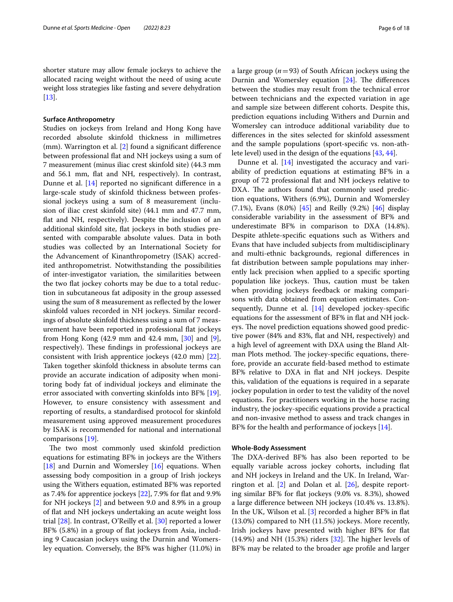shorter stature may allow female jockeys to achieve the allocated racing weight without the need of using acute weight loss strategies like fasting and severe dehydration [[13\]](#page-16-9).

#### **Surface Anthropometry**

Studies on jockeys from Ireland and Hong Kong have recorded absolute skinfold thickness in millimetres (mm). Warrington et al. [[2\]](#page-16-1) found a signifcant diference between professional fat and NH jockeys using a sum of 7 measurement (minus iliac crest skinfold site) (44.3 mm and 56.1 mm, flat and NH, respectively). In contrast, Dunne et al. [\[14](#page-16-18)] reported no signifcant diference in a large-scale study of skinfold thickness between professional jockeys using a sum of 8 measurement (inclusion of iliac crest skinfold site) (44.1 mm and 47.7 mm, fat and NH, respectively). Despite the inclusion of an additional skinfold site, fat jockeys in both studies presented with comparable absolute values. Data in both studies was collected by an International Society for the Advancement of Kinanthropometry (ISAK) accredited anthropometrist. Notwithstanding the possibilities of inter-investigator variation, the similarities between the two fat jockey cohorts may be due to a total reduction in subcutaneous fat adiposity in the group assessed using the sum of 8 measurement as refected by the lower skinfold values recorded in NH jockeys. Similar recordings of absolute skinfold thickness using a sum of 7 measurement have been reported in professional fat jockeys from Hong Kong  $(42.9 \text{ mm}$  and  $42.4 \text{ mm}$ ,  $[30]$  $[30]$  and  $[9]$  $[9]$ , respectively). These findings in professional jockeys are consistent with Irish apprentice jockeys (42.0 mm) [\[22](#page-16-13)]. Taken together skinfold thickness in absolute terms can provide an accurate indication of adiposity when monitoring body fat of individual jockeys and eliminate the error associated with converting skinfolds into BF% [\[19](#page-16-23)]. However, to ensure consistency with assessment and reporting of results, a standardised protocol for skinfold measurement using approved measurement procedures by ISAK is recommended for national and international comparisons [\[19](#page-16-23)].

The two most commonly used skinfold prediction equations for estimating BF% in jockeys are the Withers [ $18$ ] and Durnin and Womersley [ $16$ ] equations. When assessing body composition in a group of Irish jockeys using the Withers equation, estimated BF% was reported as 7.4% for apprentice jockeys [[22\]](#page-16-13), 7.9% for fat and 9.9% for NH jockeys [[2\]](#page-16-1) and between 9.0 and 8.9% in a group of fat and NH jockeys undertaking an acute weight loss trial [\[28](#page-17-2)]. In contrast, O'Reilly et al. [\[30\]](#page-17-4) reported a lower BF% (5.8%) in a group of flat jockeys from Asia, including 9 Caucasian jockeys using the Durnin and Womersley equation. Conversely, the BF% was higher (11.0%) in a large group (*n*=93) of South African jockeys using the Durnin and Womersley equation  $[24]$  $[24]$ . The differences between the studies may result from the technical error between technicians and the expected variation in age and sample size between diferent cohorts. Despite this, prediction equations including Withers and Durnin and Womersley can introduce additional variability due to diferences in the sites selected for skinfold assessment and the sample populations (sport-specifc vs. non-athlete level) used in the design of the equations [[43,](#page-17-17) [44](#page-17-18)].

Dunne et al. [\[14\]](#page-16-18) investigated the accuracy and variability of prediction equations at estimating BF% in a group of 72 professional fat and NH jockeys relative to DXA. The authors found that commonly used prediction equations, Withers (6.9%), Durnin and Womersley (7.1%), Evans (8.0%) [[45\]](#page-17-19) and Reilly (9.2%) [[46\]](#page-17-20) display considerable variability in the assessment of BF% and underestimate BF% in comparison to DXA (14.8%). Despite athlete-specifc equations such as Withers and Evans that have included subjects from multidisciplinary and multi-ethnic backgrounds, regional diferences in fat distribution between sample populations may inherently lack precision when applied to a specifc sporting population like jockeys. Thus, caution must be taken when providing jockeys feedback or making comparisons with data obtained from equation estimates. Consequently, Dunne et al.  $[14]$  $[14]$  developed jockey-specific equations for the assessment of BF% in fat and NH jockeys. The novel prediction equations showed good predictive power (84% and 83%, fat and NH, respectively) and a high level of agreement with DXA using the Bland Altman Plots method. The jockey-specific equations, therefore, provide an accurate feld-based method to estimate BF% relative to DXA in fat and NH jockeys. Despite this, validation of the equations is required in a separate jockey population in order to test the validity of the novel equations. For practitioners working in the horse racing industry, the jockey-specifc equations provide a practical and non-invasive method to assess and track changes in BF% for the health and performance of jockeys [\[14](#page-16-18)].

#### **Whole‑Body Assessment**

The DXA-derived BF% has also been reported to be equally variable across jockey cohorts, including fat and NH jockeys in Ireland and the UK. In Ireland, Warrington et al. [[2\]](#page-16-1) and Dolan et al. [[26\]](#page-17-0), despite reporting similar BF% for fat jockeys (9.0% vs. 8.3%), showed a large diference between NH jockeys (10.4% vs. 13.8%). In the UK, Wilson et al. [\[3](#page-16-2)] recorded a higher BF% in fat (13.0%) compared to NH (11.5%) jockeys. More recently, Irish jockeys have presented with higher BF% for fat  $(14.9%)$  and NH  $(15.3%)$  riders  $[32]$  $[32]$ . The higher levels of BF% may be related to the broader age profle and larger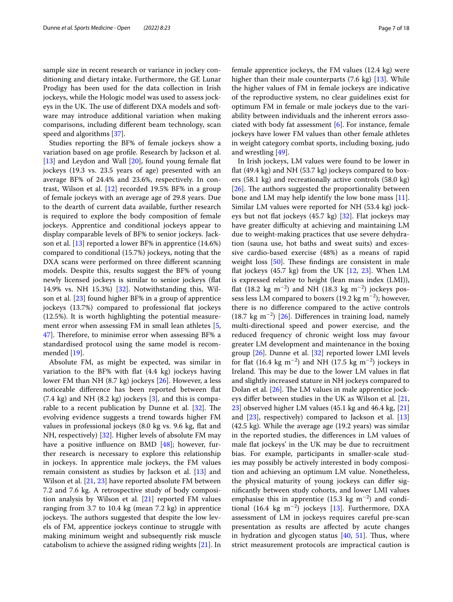sample size in recent research or variance in jockey conditioning and dietary intake. Furthermore, the GE Lunar Prodigy has been used for the data collection in Irish jockeys, while the Hologic model was used to assess jockeys in the UK. The use of different DXA models and software may introduce additional variation when making comparisons, including diferent beam technology, scan speed and algorithms [[37](#page-17-11)].

Studies reporting the BF% of female jockeys show a variation based on age profle. Research by Jackson et al. [[13\]](#page-16-9) and Leydon and Wall [[20](#page-16-11)], found young female flat jockeys (19.3 vs. 23.5 years of age) presented with an average BF% of 24.4% and 23.6%, respectively. In contrast, Wilson et al.  $[12]$  $[12]$  recorded 19.5% BF% in a group of female jockeys with an average age of 29.8 years. Due to the dearth of current data available, further research is required to explore the body composition of female jockeys. Apprentice and conditional jockeys appear to display comparable levels of BF% to senior jockeys. Jackson et al. [[13](#page-16-9)] reported a lower BF% in apprentice (14.6%) compared to conditional (15.7%) jockeys, noting that the DXA scans were performed on three diferent scanning models. Despite this, results suggest the BF% of young newly licensed jockeys is similar to senior jockeys (fat 14.9% vs. NH 15.3%) [[32\]](#page-17-6). Notwithstanding this, Wilson et al. [\[23](#page-16-14)] found higher BF% in a group of apprentice jockeys (13.7%) compared to professional fat jockeys (12.5%). It is worth highlighting the potential measure-ment error when assessing FM in small lean athletes [\[5](#page-16-4), [47\]](#page-17-21). Therefore, to minimise error when assessing BF% a standardised protocol using the same model is recommended [\[19](#page-16-23)].

Absolute FM, as might be expected, was similar in variation to the BF% with fat (4.4 kg) jockeys having lower FM than NH (8.7 kg) jockeys [[26\]](#page-17-0). However, a less noticeable diference has been reported between fat  $(7.4 \text{ kg})$  and NH  $(8.2 \text{ kg})$  jockeys  $[3]$  $[3]$ , and this is comparable to a recent publication by Dunne et al.  $[32]$  $[32]$ . The evolving evidence suggests a trend towards higher FM values in professional jockeys (8.0 kg vs. 9.6 kg, fat and NH, respectively) [\[32](#page-17-6)]. Higher levels of absolute FM may have a positive influence on BMD [[48\]](#page-17-22); however, further research is necessary to explore this relationship in jockeys. In apprentice male jockeys, the FM values remain consistent as studies by Jackson et al. [\[13](#page-16-9)] and Wilson et al. [\[21](#page-16-12), [23\]](#page-16-14) have reported absolute FM between 7.2 and 7.6 kg. A retrospective study of body composition analysis by Wilson et al. [[21](#page-16-12)] reported FM values ranging from 3.7 to 10.4 kg (mean 7.2 kg) in apprentice jockeys. The authors suggested that despite the low levels of FM, apprentice jockeys continue to struggle with making minimum weight and subsequently risk muscle catabolism to achieve the assigned riding weights [\[21\]](#page-16-12). In female apprentice jockeys, the FM values (12.4 kg) were higher than their male counterparts (7.6 kg) [\[13\]](#page-16-9). While the higher values of FM in female jockeys are indicative of the reproductive system, no clear guidelines exist for optimum FM in female or male jockeys due to the variability between individuals and the inherent errors associated with body fat assessment [\[6](#page-16-5)]. For instance, female jockeys have lower FM values than other female athletes in weight category combat sports, including boxing, judo and wrestling [\[49](#page-17-23)].

In Irish jockeys, LM values were found to be lower in fat (49.4 kg) and NH (53.7 kg) jockeys compared to boxers (58.1 kg) and recreationally active controls (58.0 kg)  $[26]$  $[26]$ . The authors suggested the proportionality between bone and LM may help identify the low bone mass [\[11](#page-16-17)]. Similar LM values were reported for NH (53.4 kg) jockeys but not flat jockeys  $(45.7 \text{ kg})$   $[32]$  $[32]$ . Flat jockeys may have greater difficulty at achieving and maintaining LM due to weight-making practices that use severe dehydration (sauna use, hot baths and sweat suits) and excessive cardio-based exercise (48%) as a means of rapid weight loss  $[50]$  $[50]$ . These findings are consistent in male flat jockeys  $(45.7 \text{ kg})$  from the UK  $[12, 23]$  $[12, 23]$  $[12, 23]$  $[12, 23]$ . When LM is expressed relative to height (lean mass index (LMI)), flat (18.2 kg m<sup>-2</sup>) and NH (18.3 kg m<sup>-2</sup>) jockeys possess less LM compared to boxers (19.2 kg m<sup>-2</sup>); however, there is no diference compared to the active controls (18.7  $\text{kg m}^{-2}$ ) [[26\]](#page-17-0). Differences in training load, namely multi-directional speed and power exercise, and the reduced frequency of chronic weight loss may favour greater LM development and maintenance in the boxing group [[26](#page-17-0)]. Dunne et al. [[32\]](#page-17-6) reported lower LMI levels for flat (16.4 kg m<sup>-2</sup>) and NH (17.5 kg m<sup>-2</sup>) jockeys in Ireland. This may be due to the lower LM values in flat and slightly increased stature in NH jockeys compared to Dolan et al.  $[26]$  $[26]$ . The LM values in male apprentice jockeys difer between studies in the UK as Wilson et al. [[21](#page-16-12), [23\]](#page-16-14) observed higher LM values (45.1 kg and 46.4 kg, [[21](#page-16-12)] and [\[23](#page-16-14)], respectively) compared to Jackson et al. [[13](#page-16-9)] (42.5 kg). While the average age (19.2 years) was similar in the reported studies, the diferences in LM values of male fat jockeys' in the UK may be due to recruitment bias. For example, participants in smaller-scale studies may possibly be actively interested in body composition and achieving an optimum LM value. Nonetheless, the physical maturity of young jockeys can difer signifcantly between study cohorts, and lower LMI values emphasise this in apprentice (15.3 kg  $m^{-2}$ ) and conditional (16.4  $\text{kg m}^{-2}$ ) jockeys [\[13](#page-16-9)]. Furthermore, DXA assessment of LM in jockeys requires careful pre-scan presentation as results are afected by acute changes in hydration and glycogen status  $[40, 51]$  $[40, 51]$  $[40, 51]$  $[40, 51]$ . Thus, where strict measurement protocols are impractical caution is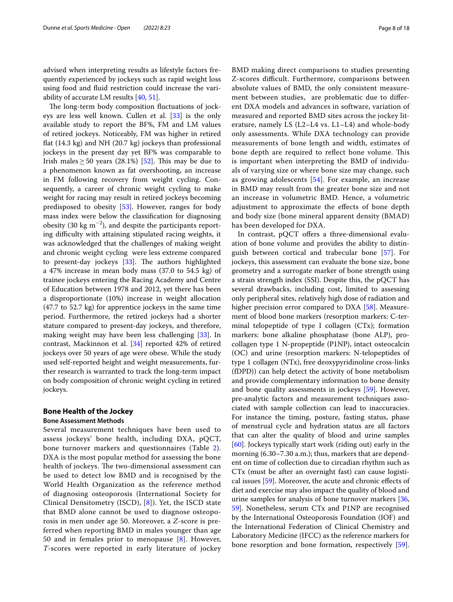advised when interpreting results as lifestyle factors frequently experienced by jockeys such as rapid weight loss using food and fuid restriction could increase the variability of accurate LM results  $[40, 51]$  $[40, 51]$  $[40, 51]$  $[40, 51]$ .

The long-term body composition fluctuations of jockeys are less well known. Cullen et al. [[33\]](#page-17-7) is the only available study to report the BF%, FM and LM values of retired jockeys. Noticeably, FM was higher in retired fat (14.3 kg) and NH (20.7 kg) jockeys than professional jockeys in the present day yet BF% was comparable to Irish males  $\geq$  50 years (28.1%) [[52](#page-17-26)]. This may be due to a phenomenon known as fat overshooting, an increase in FM following recovery from weight cycling. Consequently, a career of chronic weight cycling to make weight for racing may result in retired jockeys becoming predisposed to obesity [\[53](#page-17-27)]. However, ranges for body mass index were below the classifcation for diagnosing obesity (30 kg m<sup>-2</sup>), and despite the participants reporting difficulty with attaining stipulated racing weights, it was acknowledged that the challenges of making weight and chronic weight cycling were less extreme compared to present-day jockeys  $[33]$  $[33]$ . The authors highlighted a 47% increase in mean body mass (37.0 to 54.5 kg) of trainee jockeys entering the Racing Academy and Centre of Education between 1978 and 2012, yet there has been a disproportionate (10%) increase in weight allocation (47.7 to 52.7 kg) for apprentice jockeys in the same time period. Furthermore, the retired jockeys had a shorter stature compared to present-day jockeys, and therefore, making weight may have been less challenging [[33](#page-17-7)]. In contrast, Mackinnon et al. [[34\]](#page-17-8) reported 42% of retired jockeys over 50 years of age were obese. While the study used self-reported height and weight measurements, further research is warranted to track the long-term impact on body composition of chronic weight cycling in retired jockeys.

#### **Bone Health of the Jockey**

#### **Bone Assessment Methods**

Several measurement techniques have been used to assess jockeys' bone health, including DXA, pQCT, bone turnover markers and questionnaires (Table [2\)](#page-8-0). DXA is the most popular method for assessing the bone health of jockeys. The two-dimensional assessment can be used to detect low BMD and is recognised by the World Health Organization as the reference method of diagnosing osteoporosis (International Society for Clinical Densitometry (ISCD), [[8](#page-16-7)]). Yet, the ISCD state that BMD alone cannot be used to diagnose osteoporosis in men under age 50. Moreover, a *Z*-score is preferred when reporting BMD in males younger than age 50 and in females prior to menopause  $[8]$  $[8]$ . However, *T*-scores were reported in early literature of jockey BMD making direct comparisons to studies presenting Z-scores difficult. Furthermore, comparisons between absolute values of BMD, the only consistent measurement between studies, are problematic due to diferent DXA models and advances in software, variation of measured and reported BMD sites across the jockey literature, namely LS (L2–L4 vs. L1–L4) and whole-body only assessments. While DXA technology can provide measurements of bone length and width, estimates of bone depth are required to reflect bone volume. This is important when interpreting the BMD of individuals of varying size or where bone size may change, such as growing adolescents [\[54](#page-17-28)]. For example, an increase in BMD may result from the greater bone size and not an increase in volumetric BMD. Hence, a volumetric adjustment to approximate the efects of bone depth and body size (bone mineral apparent density (BMAD) has been developed for DXA.

In contrast, pQCT offers a three-dimensional evaluation of bone volume and provides the ability to distinguish between cortical and trabecular bone [\[57](#page-17-29)]. For jockeys, this assessment can evaluate the bone size, bone geometry and a surrogate marker of bone strength using a strain strength index (SSI). Despite this, the pQCT has several drawbacks, including cost, limited to assessing only peripheral sites, relatively high dose of radiation and higher precision error compared to DXA [\[58](#page-17-30)]. Measurement of blood bone markers (resorption markers: C-terminal telopeptide of type I collagen (CTx); formation markers: bone alkaline phosphatase (bone ALP), procollagen type 1 N-propeptide (P1NP), intact osteocalcin (OC) and urine (resorption markers: N-telopeptides of type 1 collagen (NTx), free deoxypyridinoline cross-links (fDPD)) can help detect the activity of bone metabolism and provide complementary information to bone density and bone quality assessments in jockeys [\[59](#page-17-31)]. However, pre-analytic factors and measurement techniques associated with sample collection can lead to inaccuracies. For instance the timing, posture, fasting status, phase of menstrual cycle and hydration status are all factors that can alter the quality of blood and urine samples [[60\]](#page-17-32). Jockeys typically start work (riding out) early in the morning (6.30–7.30 a.m.); thus, markers that are dependent on time of collection due to circadian rhythm such as CTx (must be after an overnight fast) can cause logistical issues [\[59](#page-17-31)]. Moreover, the acute and chronic efects of diet and exercise may also impact the quality of blood and urine samples for analysis of bone turnover markers [[36](#page-17-10), [59\]](#page-17-31). Nonetheless, serum CTx and P1NP are recognised by the International Osteoporosis Foundation (IOF) and the International Federation of Clinical Chemistry and Laboratory Medicine (IFCC) as the reference markers for bone resorption and bone formation, respectively [\[59](#page-17-31)].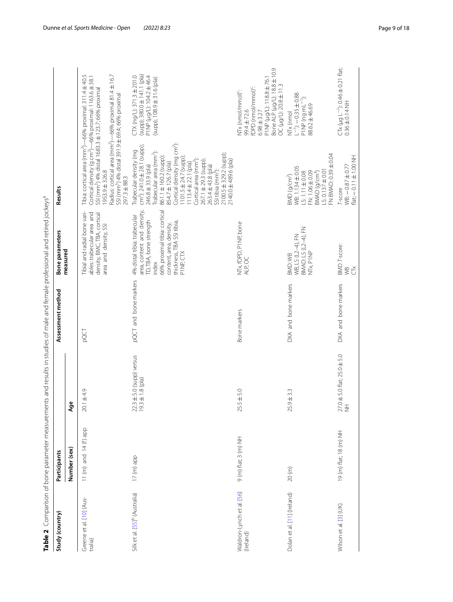|                                           |                        |                                                      |                       | Table 2 Comparison of bone parameter measurements and results in studies of male and female professional and retired jockeys <sup>a</sup>                                                         |                                                                                                                                                                                                                                                                                                                                                                                                                                                   |                                                                                                                                                                                      |
|-------------------------------------------|------------------------|------------------------------------------------------|-----------------------|---------------------------------------------------------------------------------------------------------------------------------------------------------------------------------------------------|---------------------------------------------------------------------------------------------------------------------------------------------------------------------------------------------------------------------------------------------------------------------------------------------------------------------------------------------------------------------------------------------------------------------------------------------------|--------------------------------------------------------------------------------------------------------------------------------------------------------------------------------------|
| Study (country)                           | Participants           |                                                      | Assessment method     | <b>Bone parameters</b><br>measured                                                                                                                                                                | Results                                                                                                                                                                                                                                                                                                                                                                                                                                           |                                                                                                                                                                                      |
|                                           | Number (sex)           | Age                                                  |                       |                                                                                                                                                                                                   |                                                                                                                                                                                                                                                                                                                                                                                                                                                   |                                                                                                                                                                                      |
| Greene et al. [10] (Aus-<br>tralia)       | 11 (m) and $14(f)$ app | $20.1 \pm 4.9$                                       | pQCT                  | Tibial and radial bone vari-<br>ables: trabecular area and<br>density, BMC, TBA, cortical<br>area and density, SSI                                                                                | Cortical density (g cm <sup>2</sup> )—66% proximal: 1163.6 $\pm$ 38.1<br>SSI (mm <sup>3</sup> ) 4% distal 1683.3 ± 123.7; 66% proximal<br>SSI (mm <sup>3</sup> ) 4% distal 391.9±69.4; 66% proximal<br>1953.9±326.8<br>297.3 ± 88.3                                                                                                                                                                                                               | Radius: cortical area (mm <sup>2</sup> )—66% proximal 81.4±16.7<br>Tibia: cortical area (mm <sup>2</sup> )—66% proximal: 311.4±40.5                                                  |
| Silk et al. [55] <sup>b</sup> (Australia) | 17 (m) app             | $22.3 \pm 5.0$ (supp) versus<br>19.3 $\pm$ 1.8 (pla) | pQCT and bone markers | area, content and density,<br>66% proximal tibia: cortical<br>4% distal tibia: trabecular<br>TD, TBA, bone strength<br>thickness, TBA SSI tibia,<br>content, area, density,<br>PINP, CTX<br>index | Cortical density (mg cm <sup>2</sup> ):<br>$cm2$ ): 241.0 $\pm$ 28.1 (supp);<br>Trabecular density (mg<br>Trabecular area (mm <sup>2</sup> ):<br>2100.5 ± 329.2 (supp);<br>861.1 ±160.2 (supp);<br>$1101.5 \pm 24.7$ (supp)<br>Cortical area (mm <sup>2</sup> ):<br>2140.0±489.6 (pla)<br>$267.1 \pm 29.3$ (supp)<br>854.7 ± 126.7 (pla)<br>$1113.4 \pm 22.1$ (pla)<br>246.8 ± 33.9 (pla)<br>263.4 ± 43.8 (pla)<br>SSI tibia (mm <sup>-9</sup> ): | (supp); 380.0 ± 141.1 (pla)<br>$CTX$ (ng/L): 371.3 $\pm$ 201.0<br>P1 NP (µg/L): 104.2±46.4<br>(supp); 108.9 ± 31.6 (pla)                                                             |
| Waldron-Lynch et al. [56]<br>(Ireland)    | $9(m)$ flat; $3(m)$ NH | $25.5 \pm 5.0$                                       | Bone markers          | NTx, fDPD, P1NP, bone<br>ALP, OC                                                                                                                                                                  |                                                                                                                                                                                                                                                                                                                                                                                                                                                   | P1NP (µg/L): 118.8±76.1<br>Bone ALP (µg/L): 18.8±10.9<br>OC (µg/L): 20.8±11.3<br>fDPD (nmol/mmol) <sup>c</sup> :<br>NTx (nmol/mmol) <sup>c</sup> :<br>99.4 ± 72.6<br>$6.98 \pm 3.27$ |
| Dolan et al. [11] (Ireland)               | 20(m)                  | $25.9 \pm 3.3$                                       | DXA and bone markers  | BMAD: LS (L2–4), FN<br>NTx, P1NP<br>WB, LS (L2-4), FN<br>BMD:WB                                                                                                                                   | FN BMAD: 0.39±0.04<br>WB: 1.134±0.05<br>FN:1.06±0.09<br>$LS: 0.137 + 0.01$<br>S: 1.11±0.08<br>$BMAD$ (g/cm <sup>3</sup> )<br>BMD (g/cm <sup>2</sup> )                                                                                                                                                                                                                                                                                             | $-1$ : $-0.35 \pm 0.88$<br>P1NP (ng mL $^{-1}$ ):<br>88.62 ± 46.69<br>NTx (nmol                                                                                                      |
| Wilson et al. [3] (UK)                    | 19 (m) flat; 18 (m) NH | 27.0 ± 5.0 flat; 25.0 ± 5.0<br>NH                    | DXA and bone markers  | <b>BMD</b> T-score:<br>WB<br>Ğ                                                                                                                                                                    | $flat: -0.11 \pm 1.00$ NH<br>$WB: -0.87 \pm 0.77$<br>T-score                                                                                                                                                                                                                                                                                                                                                                                      | CTx (µg L <sup>-1</sup> ): 0.46 ± 0.21 flat;<br>0.36 ± 0.14 NH                                                                                                                       |

<span id="page-8-0"></span>Table 2 Comparison of bone parameter measurements and results in studies of male and female professional and retired jockeys<sup>a</sup>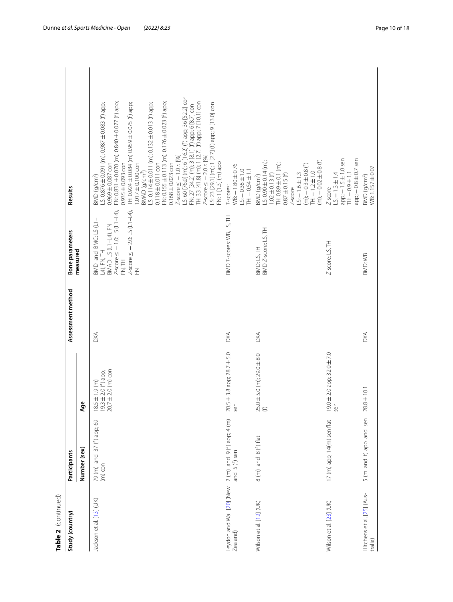| Table 2 (continued)                                                               |                                        |                                                                         |                   |                                                                                                                                                                          |                                                                                                                                                                                                                                                                                                                                                                                                                                                                                                                                                                                                                                                                                                                                            |
|-----------------------------------------------------------------------------------|----------------------------------------|-------------------------------------------------------------------------|-------------------|--------------------------------------------------------------------------------------------------------------------------------------------------------------------------|--------------------------------------------------------------------------------------------------------------------------------------------------------------------------------------------------------------------------------------------------------------------------------------------------------------------------------------------------------------------------------------------------------------------------------------------------------------------------------------------------------------------------------------------------------------------------------------------------------------------------------------------------------------------------------------------------------------------------------------------|
| Study (country)                                                                   | Participants                           |                                                                         | Assessment method | Bone parameters                                                                                                                                                          | Results                                                                                                                                                                                                                                                                                                                                                                                                                                                                                                                                                                                                                                                                                                                                    |
|                                                                                   | Number (sex)                           | Φ<br>දි                                                                 |                   | measured                                                                                                                                                                 |                                                                                                                                                                                                                                                                                                                                                                                                                                                                                                                                                                                                                                                                                                                                            |
| Jackson et al. [13] (UK)                                                          | 79 (m) and 37 (f) app; 69<br>$(m)$ con | 18.5 $\pm$ 1.9 (m)<br>19.3 $\pm$ 2.0 (f) app;<br>20.7 $\pm$ 2.0 (m) con | <b>DXA</b>        | $\n  BMAP: LS (L1-L4), FN\n  Z-score \leq -1.0: LS (L1-L4),\n$<br>$Z$ -score $\leq -2.0$ : LS (L1-L4),<br>BMD and BMC: LS (L1-<br>L4), FN, TH<br>H<br>N.<br>N.<br>$\leq$ | LS: 60 [76.0] (m); 6 [16.2] (f) app; 36 [52.2] con<br>FN: 27 [34.2] (m); 3 [8.1] (f) app; 6 [8.7] con<br>TH: 33 [41.8] (m); 1 [2.7] (f) app; 7 [10.1] con<br>FN: 0.831 ± 0.070 (m); 0.840± 0.077 (f) app;<br>FN: 0.155 ± 0.113 (m); 0.176 ± 0.023 (f) app;<br>LS: 0.876 ± 0.091 (m); 0.987 ± 0.083 (f) app;<br>TH: 0.924 ± 0.084 (m) 0.959 ± 0.075 (f) app;<br>LS: 0.114 $\pm$ 0.011 (m); 0.132 $\pm$ 0.013 (f) app;<br>Z-score ≤ −2.0 n [%]<br>LS: 23 [29.1] (m); 1 [2.7] (f) app; 9 [13.0] con<br>$Z$ -score $\le$ -1.0 n [%]<br>FN: 1 [1.3] (m) app<br>$0.935 \pm 0.093$ con<br>$1.017 \pm 0.100$ con<br>$0.118 + 0.011$ con<br>$0.168 \pm 0.023$ con<br>$0.969 \pm 0.087$ con<br>BMAD (g/cm <sup>3</sup> )<br>BMD (g/cm <sup>2</sup> ) |
| Leydon and Wall [20] (New 2 (m) and 9 (f) app; 4 (m)<br>Zealand)<br>and 5 (f) sen |                                        | 20.5 ± 3.8 app; 28.7 ± 5.0<br>sen                                       | $\frac{1}{2}$     | BMD T-scores: WB, LS, TH                                                                                                                                                 | $WB: -1.80 \pm 0.76$<br><b>TH:-0.54±1.1</b><br>$LS: -0.36 \pm 1.0$<br>T-scores:                                                                                                                                                                                                                                                                                                                                                                                                                                                                                                                                                                                                                                                            |
| Wilson et al. [12] (UK)                                                           | 8 (m) and 8 (f) flat                   | $25.0 \pm 5.0$ (m); 29.0 $\pm$ 8.0<br>(f)                               | <b>DXA</b>        | BMD Z-score: LS, TH<br>BMD: LS, TH                                                                                                                                       | $(m)$ ; $-0.02 \pm 0.8$ (f)<br>$LS: 0.90 \pm 0.14$ (m);<br>TH: 0.89 ± 0.1 (m);<br>$(m)$ ; $-0.3 \pm 0.8$ (f)<br>$H = 1.2 \pm 1.0$<br>$1.02 \pm 0.13$ (f)<br>$S: -1.6 \pm 1.3$<br>$0.87 \pm 0.15$ (f)<br>BMD (g/cm <sup>2</sup> )<br>$Z$ -score                                                                                                                                                                                                                                                                                                                                                                                                                                                                                             |
| Wilson et al. [23] (UK)                                                           | 17 (m) app; 14(m) sen flat             | $19.0 \pm 2.0$ app; $32.0 \pm 7.0$<br>sen                               |                   | Z-score: LS, TH                                                                                                                                                          | $app: -1.5 \pm 1.0$ sen<br>$app$ ; $-0.8 \pm 0.7$ sen<br>$LS = 1.3 \pm 1.4$<br>$H = 0.9 + 1.1$<br>$Z$ -score                                                                                                                                                                                                                                                                                                                                                                                                                                                                                                                                                                                                                               |
| Hitchens et al. [25] (Aus-<br>tralia)                                             | 5 (m and f) app and sen                | $28.8 \pm 10.1$                                                         | <b>DXA</b>        | BMD: WB                                                                                                                                                                  | WB: 1.157 ± 0.07<br>BMD (g/cm <sup>2</sup> )                                                                                                                                                                                                                                                                                                                                                                                                                                                                                                                                                                                                                                                                                               |

Dunne *et al. Sports Medicine - Open (2022) 8:23* Page 10 of 18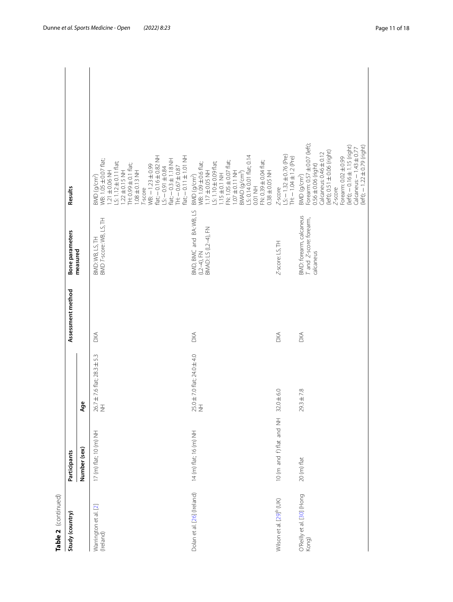| Table 2 (continued)                  |                          |                                           |                   |                                                                 |                                                                                                                                                                                                                                                                                                                                                    |
|--------------------------------------|--------------------------|-------------------------------------------|-------------------|-----------------------------------------------------------------|----------------------------------------------------------------------------------------------------------------------------------------------------------------------------------------------------------------------------------------------------------------------------------------------------------------------------------------------------|
| Study (country)                      | Participants             |                                           | Assessment method | Bone parameters                                                 | Results                                                                                                                                                                                                                                                                                                                                            |
|                                      | Number (sex)             | Age                                       |                   | measured                                                        |                                                                                                                                                                                                                                                                                                                                                    |
| Warrington et al. [2]<br>(Ireland)   | 17 (m) flat; 10 (m) NH   | $26.7 \pm 7.6$ flat; $28.3 \pm 5.3$<br>NH | <b>DXA</b>        | BMD: WB, LS, TH<br>BMD T-score: WB, LS, TH                      | $flat$ ; $-0.16 \pm 0.82$ NH<br>$flat$ ; $-0.11 \pm 1.01$ NH<br>$flat: -0.3 \pm 1.18$ NH<br>WB: 1.05 ±0.07 flat;<br>$5:1.12 \pm 0.11$ flat;<br>TH: 0.99 ± 0.1 flat;<br>$WB: -1.23 \pm 0.99$<br>$S = 0.91 \pm 0.84$<br>$H: -0.67 \pm 0.87$<br>$1.22 \pm 0.15$ NH<br>$1.08 \pm 0.13$ NH<br>$1.21 \pm 0.06$ NH<br>3MD (g/cm <sup>2</sup> )<br>T-score |
| Dolan et al. [26] (Ireland)          | 14 (m) flat; 16 (m) NH   | 25.0 ± 7.0 flat; 24.0 ± 4.0<br>NH         | 38                | BMD, BMC and BA: WB, LS<br>BMAD: LS (L2-4), FN<br>$(L2-4), FN$  | LS: 0.14 0.01 flat; 0.14<br>FN: 0.39 ± 0.04 flat;<br>FN: 1.05 ± 0.07 flat;<br>LS: 1.10 ±0.09 flat;<br>BMD (g/cm <sup>2</sup> )<br>WB: 1.09±0.6 flat;<br>$0.38 \pm 0.05$ NH<br>$.17 \pm 0.05$ NH<br>$1.07 \pm 0.11$ NH<br>$BMAD$ (g/cm <sup>3</sup> )<br>$.15 \pm 0.1$ NH<br>0.01 NH                                                                |
| Wilson et al. [29] <sup>b</sup> (UK) | 10 (m and f) flat and NH | $32.0 \pm 6.0$                            | <b>DXA</b>        | Z-score: LS, TH                                                 | $LS: -1.32 \pm 0.76$ (Pre)<br>TH: $-1.04 \pm 1.2$ (Pre)<br>$Z$ -score                                                                                                                                                                                                                                                                              |
| O'Reilly et al. [30] (Hong<br>Kong)  | 20 (m) flat              | $29.3 \pm 7.8$                            | <b>DXA</b>        | BMD: forearm, calcaneus<br>T and Z-score: forearm,<br>calcaneus | Forearm: 0.57 ± 0.07 (left);<br>$(let)$ ; $-0.16 \pm 1.15$ (right)<br>$(let)$ ; $-1.22 \pm 0.79$ (right)<br>$Calcaneus: -1.43 \pm 0.77$<br>$(left); 0.51 \pm 0.06$ (right)<br>Calcaneus: 0.46 ± 0.12<br>Forearm: 0.02 ± 0.99<br>$0.56 \pm 0.06$ (right)<br>BMD (g/cm <sup>2</sup> )<br>Z-score                                                     |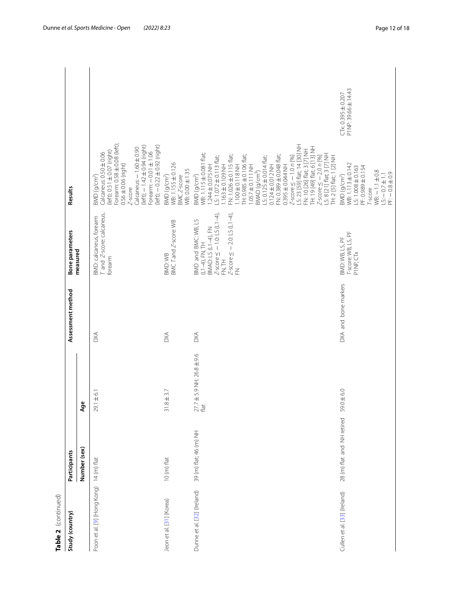| Table 2 (continued)                     |                            |                                           |                      |                                                                                                                                                                   |                                                                                                                                                                                                                                                                                                                                                                                                                                                                                                                                                                                       |                                               |  |
|-----------------------------------------|----------------------------|-------------------------------------------|----------------------|-------------------------------------------------------------------------------------------------------------------------------------------------------------------|---------------------------------------------------------------------------------------------------------------------------------------------------------------------------------------------------------------------------------------------------------------------------------------------------------------------------------------------------------------------------------------------------------------------------------------------------------------------------------------------------------------------------------------------------------------------------------------|-----------------------------------------------|--|
| Study (country)                         | Participants               |                                           | Assessment method    | <b>Bone parameters</b>                                                                                                                                            | Results                                                                                                                                                                                                                                                                                                                                                                                                                                                                                                                                                                               |                                               |  |
|                                         | Number (sex)               | Age                                       |                      | measured                                                                                                                                                          |                                                                                                                                                                                                                                                                                                                                                                                                                                                                                                                                                                                       |                                               |  |
| Poon et al. [9] (Hong Kong) 14 (m) flat |                            | $\pm 6.1$<br>29.1                         | DXA                  | T and Z-score: calcaneus,<br>BMD: calcaneus, forearm<br>forearm                                                                                                   | Forearm: 0.58 ± 0.08 (left);<br>(left); -- 1.42 ± 0.94 (right)<br>(left); $-0.22 \pm 0.92$ (right)<br>Calcaneus: $-1.60 \pm 0.90$<br>(left); 0.51 ± 0.07 (right)<br>$5001 \pm 1.06$<br>Calcaneus: 0.50 ± 0.06<br>$0.56 \pm 0.06$ (right)<br>BMD (g/cm <sup>2</sup> )<br>$Z$ -score                                                                                                                                                                                                                                                                                                    |                                               |  |
| Jeon et al. [31] (Korea)                | 10 (m) flat                | $\pm$ 3.7<br>31.8                         | <b>DXA</b>           | BMC T and Z-score: WB<br>BMD:WB                                                                                                                                   | WB:1.155 ± 0.126<br>WB: 0.00 ± 1.35<br>BMD (g/cm <sup>2</sup> )<br>BMC Z-score                                                                                                                                                                                                                                                                                                                                                                                                                                                                                                        |                                               |  |
| Dunne et al. [32] (Ireland)             | 39 (m) flat; 46 (m) NH     | $27.7 \pm 5.9$ NH; 26.8 $\pm$ 9.6<br>flat | <b>DXA</b>           | $Z$ -score $\le$ -1.0: LS (L1-4),<br>$Z$ -score $\leq -2.0$ : LS (L1-4),<br>BMD and BMC: WB, LS<br>BMAD: LS (L1-4), FN<br>$(L1-4)$ , FN, TH<br>H<br>N.T<br>$\leq$ | Z-score ≤ −1.0 n [%]<br>LS: 23 [59] flat; 14 [30] NH<br>TH: 19 [49] flat; 6 [13] NH<br>FN: 10 [26] flat; 3 [7] NH<br>WB: 1.115 ± 0.081 flat;<br>$Z$ -score $\leq$ $-$ 2.0 n [%]<br>LS: 8 [21] flat; 3 [7] NH<br>TH: 2 [5] flat; 1 [2] NH<br>FN: 1.026 ± 0.115 flat;<br>H: 0.985 ± 0.106 flat;<br>FN: 0.389 ± 0.048 flat;<br>$5:1.072 \pm 0.113$ flat;<br>$S: 0.125 \pm 0.014$ flat;<br>$-100 \pm 0.118$ NH<br>$-163 \pm 0.109$ NH<br>$0.124 \pm 0.012$ NH<br>1.244±0.075 NH<br>$-1.057 \pm 0.111$ NH<br>$0.395 \pm 0.044$ NH<br>BMAP (g/cm <sup>3</sup> )<br>BMD (g/cm <sup>2</sup> ) |                                               |  |
| Cullen et al. [33] (Ireland)            | 28 (m) flat and NH retired | $\pm 6.0$<br>59.0                         | DXA and bone markers | T-score: WB, LS, PF<br>BMD: WB, LS, PF<br>P1NP, CTx                                                                                                               | WB: 1.113 ± 0.142<br>LS: 1.008 ± 0.163<br>PF: 0.989 ± 0.154<br>$MB: -1.1 + 0.8$<br>$PF: -0.8 \pm 0.9$<br>$5: -0.7 \pm 1.1$<br>BMD (g/cm <sup>2</sup> )<br><sup>r-Score</sup>                                                                                                                                                                                                                                                                                                                                                                                                          | P1NP: 39.66 ± 14.43<br>$CTx: 0.395 \pm 0.207$ |  |

Table 2 (continued)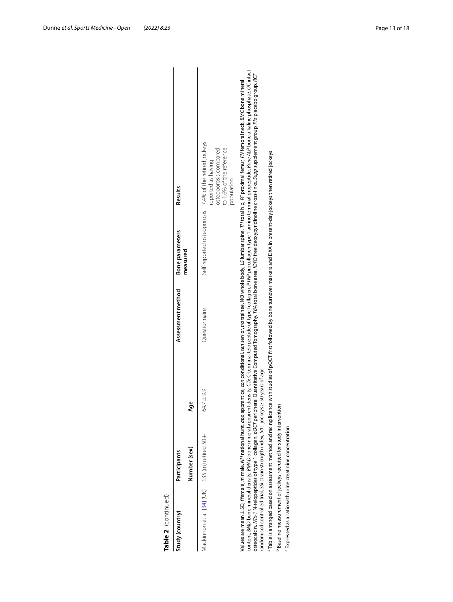| Table 2 (continued)                                                                                                                                           |              |                 |                   |                                                                                                                  |                                                                                                                                                                                                                                                                                                                                                                                                                                                                                                                                                                                                                                                                                    |
|---------------------------------------------------------------------------------------------------------------------------------------------------------------|--------------|-----------------|-------------------|------------------------------------------------------------------------------------------------------------------|------------------------------------------------------------------------------------------------------------------------------------------------------------------------------------------------------------------------------------------------------------------------------------------------------------------------------------------------------------------------------------------------------------------------------------------------------------------------------------------------------------------------------------------------------------------------------------------------------------------------------------------------------------------------------------|
| Study (country)                                                                                                                                               | Participants |                 | Assessment method | Bone parameters                                                                                                  | Results                                                                                                                                                                                                                                                                                                                                                                                                                                                                                                                                                                                                                                                                            |
|                                                                                                                                                               | Number (sex) | ğ               |                   | measured                                                                                                         |                                                                                                                                                                                                                                                                                                                                                                                                                                                                                                                                                                                                                                                                                    |
| Mackinnon et al. [34] (UK) 135 (m) retired 50+                                                                                                                |              | $-19.9$<br>64.7 | Questionnaire     |                                                                                                                  | Self-reported osteoporosis 7.4% of the retired jockeys<br>to 1.6% of the reference<br>osteoporosis compared<br>reported as having<br>population                                                                                                                                                                                                                                                                                                                                                                                                                                                                                                                                    |
| randomised controlled trial, SSI strain strength index, 50+ jockeys >                                                                                         |              | 50 years of age |                   |                                                                                                                  | content, BMD bone mineral density, BMAD bone mineral apparent density, CTx C-terminal telopeptide of type I collagen. PTMP procollagen type 1 amino terminal propeptide, Bone ALP bone alkaline phosphate, OC intact<br>osteocalcin, NTx-1 N-telopeptides of type 1 collagen, pQCT peripheral Quantitative Computed Tomography, TBA total bone area, fDPD free deoxypyridinoline cross-links, Supp supplement group, Pla placebo group, RCT<br>Values are mean ± SD, ffemale, m male, MH national hunt, <i>app</i> apprentice, <i>con</i> conditional, sen senior, tra trainee, WB whole body, LS lumbar spine, FH total hip, PF proximal femur, FN femoral neck, BMC bone mineral |
| <sup>a</sup> Table is arranged based on assessment method and racing licence<br><sup>2</sup> Baseline measurement of jockeys recruited for study intervention |              |                 |                   | with studies of pQCT first followed by bone turnover markers and DXA in present-day jockeys then retired jockeys |                                                                                                                                                                                                                                                                                                                                                                                                                                                                                                                                                                                                                                                                                    |
| Expressed as a ratio with urine creatinine concentration                                                                                                      |              |                 |                   |                                                                                                                  |                                                                                                                                                                                                                                                                                                                                                                                                                                                                                                                                                                                                                                                                                    |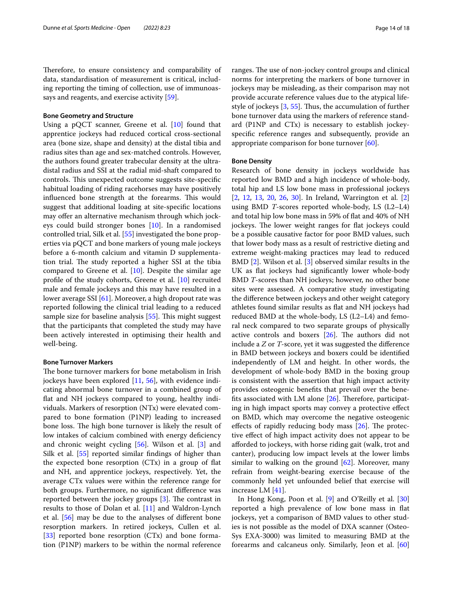Therefore, to ensure consistency and comparability of data, standardisation of measurement is critical, including reporting the timing of collection, use of immunoassays and reagents, and exercise activity [[59\]](#page-17-31).

#### **Bone Geometry and Structure**

Using a pQCT scanner, Greene et al. [[10\]](#page-16-24) found that apprentice jockeys had reduced cortical cross-sectional area (bone size, shape and density) at the distal tibia and radius sites than age and sex-matched controls. However, the authors found greater trabecular density at the ultradistal radius and SSI at the radial mid-shaft compared to controls. This unexpected outcome suggests site-specific habitual loading of riding racehorses may have positively influenced bone strength at the forearms. This would suggest that additional loading at site-specifc locations may offer an alternative mechanism through which jockeys could build stronger bones [[10\]](#page-16-24). In a randomised controlled trial, Silk et al. [[55\]](#page-17-33) investigated the bone properties via pQCT and bone markers of young male jockeys before a 6-month calcium and vitamin D supplementation trial. The study reported a higher SSI at the tibia compared to Greene et al.  $[10]$  $[10]$  $[10]$ . Despite the similar age profle of the study cohorts, Greene et al. [[10](#page-16-24)] recruited male and female jockeys and this may have resulted in a lower average SSI [\[61](#page-17-35)]. Moreover, a high dropout rate was reported following the clinical trial leading to a reduced sample size for baseline analysis  $[55]$  $[55]$ . This might suggest that the participants that completed the study may have been actively interested in optimising their health and well-being.

#### **Bone Turnover Markers**

The bone turnover markers for bone metabolism in Irish jockeys have been explored [[11,](#page-16-17) [56\]](#page-17-34), with evidence indicating abnormal bone turnover in a combined group of fat and NH jockeys compared to young, healthy individuals. Markers of resorption (NTx) were elevated compared to bone formation (P1NP) leading to increased bone loss. The high bone turnover is likely the result of low intakes of calcium combined with energy deficiency and chronic weight cycling [\[56](#page-17-34)]. Wilson et al. [[3\]](#page-16-2) and Silk et al. [[55\]](#page-17-33) reported similar findings of higher than the expected bone resorption (CTx) in a group of fat and NH, and apprentice jockeys, respectively. Yet, the average CTx values were within the reference range for both groups. Furthermore, no signifcant diference was reported between the jockey groups  $[3]$  $[3]$  $[3]$ . The contrast in results to those of Dolan et al. [\[11\]](#page-16-17) and Waldron-Lynch et al. [\[56](#page-17-34)] may be due to the analyses of diferent bone resorption markers. In retired jockeys, Cullen et al. [[33\]](#page-17-7) reported bone resorption (CTx) and bone formation (P1NP) markers to be within the normal reference ranges. The use of non-jockey control groups and clinical norms for interpreting the markers of bone turnover in jockeys may be misleading, as their comparison may not provide accurate reference values due to the atypical life-style of jockeys [\[3](#page-16-2), [55\]](#page-17-33). Thus, the accumulation of further bone turnover data using the markers of reference standard (P1NP and CTx) is necessary to establish jockeyspecifc reference ranges and subsequently, provide an appropriate comparison for bone turnover [\[60](#page-17-32)].

#### **Bone Density**

Research of bone density in jockeys worldwide has reported low BMD and a high incidence of whole-body, total hip and LS low bone mass in professional jockeys [[2,](#page-16-1) [12,](#page-16-10) [13,](#page-16-9) [20,](#page-16-11) [26,](#page-17-0) [30\]](#page-17-4). In Ireland, Warrington et al. [\[2](#page-16-1)] using BMD *T*-scores reported whole-body, LS (L2–L4) and total hip low bone mass in 59% of fat and 40% of NH jockeys. The lower weight ranges for flat jockeys could be a possible causative factor for poor BMD values, such that lower body mass as a result of restrictive dieting and extreme weight-making practices may lead to reduced BMD [[2\]](#page-16-1). Wilson et al. [\[3](#page-16-2)] observed similar results in the UK as fat jockeys had signifcantly lower whole-body BMD *T*-scores than NH jockeys; however, no other bone sites were assessed. A comparative study investigating the diference between jockeys and other weight category athletes found similar results as fat and NH jockeys had reduced BMD at the whole-body, LS (L2–L4) and femoral neck compared to two separate groups of physically active controls and boxers  $[26]$  $[26]$  $[26]$ . The authors did not include a *Z* or *T*-score, yet it was suggested the diference in BMD between jockeys and boxers could be identifed independently of LM and height. In other words, the development of whole-body BMD in the boxing group is consistent with the assertion that high impact activity provides osteogenic benefts that prevail over the benefits associated with LM alone  $[26]$  $[26]$  $[26]$ . Therefore, participating in high impact sports may convey a protective efect on BMD, which may overcome the negative osteogenic effects of rapidly reducing body mass  $[26]$  $[26]$  $[26]$ . The protective efect of high impact activity does not appear to be aforded to jockeys, with horse riding gait (walk, trot and canter), producing low impact levels at the lower limbs similar to walking on the ground  $[62]$  $[62]$  $[62]$ . Moreover, many refrain from weight-bearing exercise because of the commonly held yet unfounded belief that exercise will increase LM [\[41\]](#page-17-15).

In Hong Kong, Poon et al. [[9](#page-16-8)] and O'Reilly et al. [[30](#page-17-4)] reported a high prevalence of low bone mass in fat jockeys, yet a comparison of BMD values to other studies is not possible as the model of DXA scanner (Osteo-Sys EXA-3000) was limited to measuring BMD at the forearms and calcaneus only. Similarly, Jeon et al. [[60](#page-17-32)]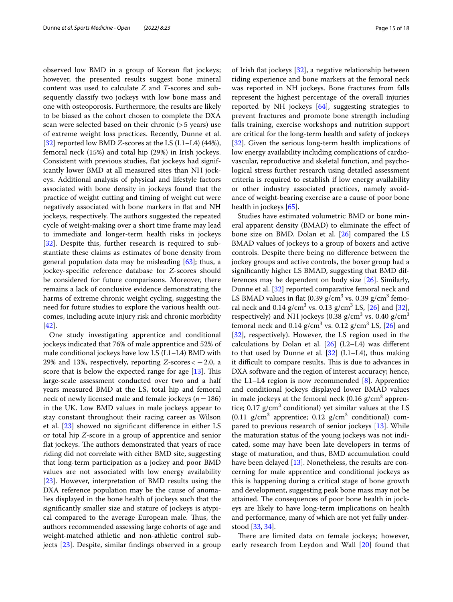observed low BMD in a group of Korean fat jockeys; however, the presented results suggest bone mineral content was used to calculate *Z* and *T*-scores and subsequently classify two jockeys with low bone mass and one with osteoporosis. Furthermore, the results are likely to be biased as the cohort chosen to complete the DXA scan were selected based on their chronic (>5 years) use of extreme weight loss practices. Recently, Dunne et al. [[32\]](#page-17-6) reported low BMD *Z*-scores at the LS (L1–L4) (44%), femoral neck (15%) and total hip (29%) in Irish jockeys. Consistent with previous studies, fat jockeys had significantly lower BMD at all measured sites than NH jockeys. Additional analysis of physical and lifestyle factors associated with bone density in jockeys found that the practice of weight cutting and timing of weight cut were negatively associated with bone markers in flat and NH jockeys, respectively. The authors suggested the repeated cycle of weight-making over a short time frame may lead to immediate and longer-term health risks in jockeys [[32\]](#page-17-6). Despite this, further research is required to substantiate these claims as estimates of bone density from general population data may be misleading  $[63]$  $[63]$ ; thus, a jockey-specifc reference database for *Z*-scores should be considered for future comparisons. Moreover, there remains a lack of conclusive evidence demonstrating the harms of extreme chronic weight cycling, suggesting the need for future studies to explore the various health outcomes, including acute injury risk and chronic morbidity [[42\]](#page-17-16).

One study investigating apprentice and conditional jockeys indicated that 76% of male apprentice and 52% of male conditional jockeys have low LS (L1–L4) BMD with 29% and 13%, respectively, reporting  $Z$ -scores  $<-2.0$ , a score that is below the expected range for age  $[13]$  $[13]$ . This large-scale assessment conducted over two and a half years measured BMD at the LS, total hip and femoral neck of newly licensed male and female jockeys (*n*=186) in the UK. Low BMD values in male jockeys appear to stay constant throughout their racing career as Wilson et al. [\[23](#page-16-14)] showed no signifcant diference in either LS or total hip *Z*-score in a group of apprentice and senior flat jockeys. The authors demonstrated that years of race riding did not correlate with either BMD site, suggesting that long-term participation as a jockey and poor BMD values are not associated with low energy availability [[23\]](#page-16-14). However, interpretation of BMD results using the DXA reference population may be the cause of anomalies displayed in the bone health of jockeys such that the signifcantly smaller size and stature of jockeys is atypical compared to the average European male. Thus, the authors recommended assessing large cohorts of age and weight-matched athletic and non-athletic control subjects [\[23](#page-16-14)]. Despite, similar fndings observed in a group of Irish fat jockeys [[32\]](#page-17-6), a negative relationship between riding experience and bone markers at the femoral neck was reported in NH jockeys. Bone fractures from falls represent the highest percentage of the overall injuries reported by NH jockeys [\[64](#page-17-38)], suggesting strategies to prevent fractures and promote bone strength including falls training, exercise workshops and nutrition support are critical for the long-term health and safety of jockeys [[32\]](#page-17-6). Given the serious long-term health implications of low energy availability including complications of cardiovascular, reproductive and skeletal function, and psychological stress further research using detailed assessment criteria is required to establish if low energy availability or other industry associated practices, namely avoidance of weight-bearing exercise are a cause of poor bone health in jockeys [\[65](#page-17-39)].

Studies have estimated volumetric BMD or bone mineral apparent density (BMAD) to eliminate the efect of bone size on BMD. Dolan et al. [[26\]](#page-17-0) compared the LS BMAD values of jockeys to a group of boxers and active controls. Despite there being no diference between the jockey groups and active controls, the boxer group had a signifcantly higher LS BMAD, suggesting that BMD differences may be dependent on body size [[26\]](#page-17-0). Similarly, Dunne et al. [[32](#page-17-6)] reported comparative femoral neck and LS BMAD values in flat  $(0.39 \text{ g/cm}^3 \text{ vs. } 0.39 \text{ g/cm}^3 \text{ femo-}$ ral neck and  $0.14 \text{ g/cm}^3 \text{ vs. } 0.13 \text{ g/cm}^3 \text{ LS}$ , [\[26\]](#page-17-0) and [\[32](#page-17-6)], respectively) and NH jockeys (0.38  $\rm g/cm^3$  vs. 0.40  $\rm g/cm^3$ femoral neck and  $0.14$  g/cm<sup>3</sup> vs.  $0.12$  g/cm<sup>3</sup> LS, [\[26](#page-17-0)] and [[32\]](#page-17-6), respectively). However, the LS region used in the calculations by Dolan et al.  $[26]$  $[26]$  (L2–L4) was different to that used by Dunne et al.  $[32]$  $[32]$  (L1–L4), thus making it difficult to compare results. This is due to advances in DXA software and the region of interest accuracy; hence, the L1–L4 region is now recommended  $[8]$  $[8]$ . Apprentice and conditional jockeys displayed lower BMAD values in male jockeys at the femoral neck  $(0.16 \text{ g/cm}^3$  apprentice;  $0.17$  g/cm<sup>3</sup> conditional) yet similar values at the LS  $(0.11 \text{ g/cm}^3 \text{ apprentice}; 0.12 \text{ g/cm}^3 \text{ conditional})$  compared to previous research of senior jockeys [\[13\]](#page-16-9). While the maturation status of the young jockeys was not indicated, some may have been late developers in terms of stage of maturation, and thus, BMD accumulation could have been delayed [[13](#page-16-9)]. Nonetheless, the results are concerning for male apprentice and conditional jockeys as this is happening during a critical stage of bone growth and development, suggesting peak bone mass may not be attained. The consequences of poor bone health in jockeys are likely to have long-term implications on health and performance, many of which are not yet fully understood [\[33,](#page-17-7) [34](#page-17-8)].

There are limited data on female jockeys; however, early research from Leydon and Wall [[20\]](#page-16-11) found that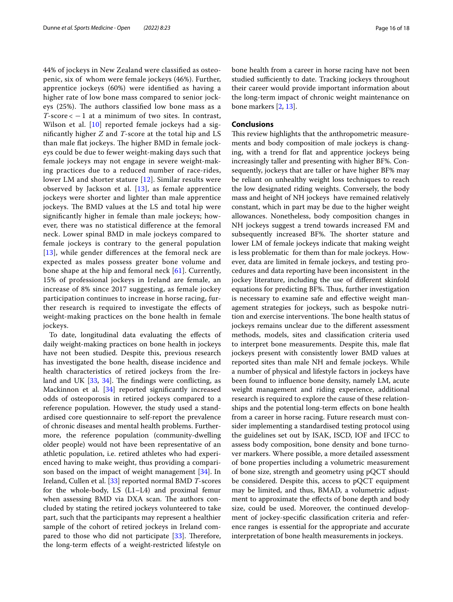44% of jockeys in New Zealand were classifed as osteopenic, six of whom were female jockeys (46%). Further, apprentice jockeys (60%) were identifed as having a higher rate of low bone mass compared to senior jockeys (25%). The authors classified low bone mass as a  $T$ -score  $<-1$  at a minimum of two sites. In contrast, Wilson et al. [[10\]](#page-16-24) reported female jockeys had a signifcantly higher *Z* and *T*-score at the total hip and LS than male flat jockeys. The higher BMD in female jockeys could be due to fewer weight-making days such that female jockeys may not engage in severe weight-making practices due to a reduced number of race-rides, lower LM and shorter stature [[12](#page-16-10)]. Similar results were observed by Jackson et al. [[13\]](#page-16-9), as female apprentice jockeys were shorter and lighter than male apprentice jockeys. The BMD values at the LS and total hip were signifcantly higher in female than male jockeys; however, there was no statistical diference at the femoral neck. Lower spinal BMD in male jockeys compared to female jockeys is contrary to the general population [[13](#page-16-9)], while gender differences at the femoral neck are expected as males possess greater bone volume and bone shape at the hip and femoral neck [[61\]](#page-17-35). Currently, 15% of professional jockeys in Ireland are female, an increase of 8% since 2017 suggesting, as female jockey participation continues to increase in horse racing, further research is required to investigate the efects of weight-making practices on the bone health in female jockeys.

To date, longitudinal data evaluating the efects of daily weight-making practices on bone health in jockeys have not been studied. Despite this, previous research has investigated the bone health, disease incidence and health characteristics of retired jockeys from the Ireland and UK  $[33, 34]$  $[33, 34]$  $[33, 34]$ . The findings were conflicting, as Mackinnon et al. [[34\]](#page-17-8) reported significantly increased odds of osteoporosis in retired jockeys compared to a reference population. However, the study used a standardised core questionnaire to self-report the prevalence of chronic diseases and mental health problems. Furthermore, the reference population (community-dwelling older people) would not have been representative of an athletic population, i.e. retired athletes who had experienced having to make weight, thus providing a comparison based on the impact of weight management [\[34](#page-17-8)]. In Ireland, Cullen et al. [[33\]](#page-17-7) reported normal BMD *T*-scores for the whole-body, LS (L1–L4) and proximal femur when assessing BMD via DXA scan. The authors concluded by stating the retired jockeys volunteered to take part, such that the participants may represent a healthier sample of the cohort of retired jockeys in Ireland compared to those who did not participate  $[33]$  $[33]$ . Therefore, the long-term efects of a weight-restricted lifestyle on bone health from a career in horse racing have not been studied sufficiently to date. Tracking jockeys throughout their career would provide important information about the long-term impact of chronic weight maintenance on bone markers [\[2](#page-16-1), [13](#page-16-9)].

#### **Conclusions**

This review highlights that the anthropometric measurements and body composition of male jockeys is changing, with a trend for flat and apprentice jockeys being increasingly taller and presenting with higher BF%. Consequently, jockeys that are taller or have higher BF% may be reliant on unhealthy weight loss techniques to reach the low designated riding weights. Conversely, the body mass and height of NH jockeys have remained relatively constant, which in part may be due to the higher weight allowances. Nonetheless, body composition changes in NH jockeys suggest a trend towards increased FM and subsequently increased BF%. The shorter stature and lower LM of female jockeys indicate that making weight is less problematic for them than for male jockeys. However, data are limited in female jockeys, and testing procedures and data reporting have been inconsistent in the jockey literature, including the use of diferent skinfold equations for predicting BF%. Thus, further investigation is necessary to examine safe and efective weight management strategies for jockeys, such as bespoke nutrition and exercise interventions. The bone health status of jockeys remains unclear due to the diferent assessment methods, models, sites and classifcation criteria used to interpret bone measurements. Despite this, male fat jockeys present with consistently lower BMD values at reported sites than male NH and female jockeys. While a number of physical and lifestyle factors in jockeys have been found to infuence bone density, namely LM, acute weight management and riding experience, additional research is required to explore the cause of these relationships and the potential long-term effects on bone health from a career in horse racing. Future research must consider implementing a standardised testing protocol using the guidelines set out by ISAK, ISCD, IOF and IFCC to assess body composition, bone density and bone turnover markers. Where possible, a more detailed assessment of bone properties including a volumetric measurement of bone size, strength and geometry using pQCT should be considered. Despite this, access to pQCT equipment may be limited, and thus, BMAD, a volumetric adjustment to approximate the effects of bone depth and body size, could be used. Moreover, the continued development of jockey-specifc classifcation criteria and reference ranges is essential for the appropriate and accurate interpretation of bone health measurements in jockeys.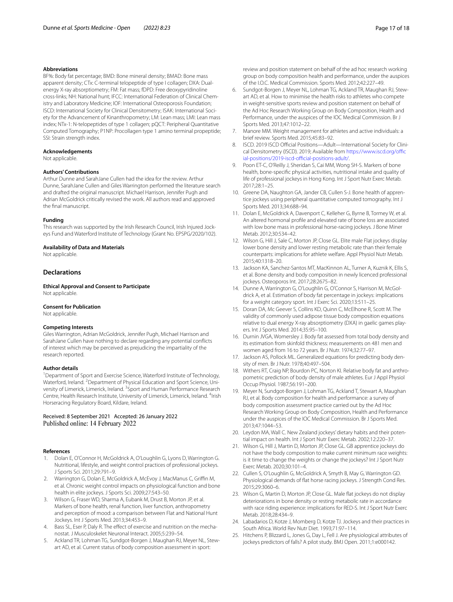#### **Abbreviations**

BF%: Body fat percentage; BMD: Bone mineral density; BMAD: Bone mass apparent density; CTx: C-terminal telopeptide of type I collagen; DXA: Dualenergy X-ray absorptiometry; FM: Fat mass; fDPD: Free deoxypyridinoline cross-links; NH: National hunt; IFCC: International Federation of Clinical Chemistry and Laboratory Medicine; IOF: International Osteoporosis Foundation; ISCD: International Society for Clinical Densitometry; ISAK: International Society for the Advancement of Kinanthropometry; LM: Lean mass; LMI: Lean mass index; NTx-1: N-telopeptides of type 1 collagen; pQCT: Peripheral Quantitative Computed Tomography; P1NP: Procollagen type 1 amino terminal propeptide; SSI: Strain strength index.

#### **Acknowledgements**

Not applicable.

#### **Authors' Contributions**

Arthur Dunne and SarahJane Cullen had the idea for the review. Arthur Dunne, SarahJane Cullen and Giles Warrington performed the literature search and drafted the original manuscript. Michael Harrison, Jennifer Pugh and Adrian McGoldrick critically revised the work. All authors read and approved the fnal manuscript.

#### **Funding**

This research was supported by the Irish Research Council, Irish Injured Jockeys Fund and Waterford Institute of Technology (Grant No. EPSPG/2020/102).

#### **Availability of Data and Materials**

Not applicable.

#### **Declarations**

**Ethical Approval and Consent to Participate** Not applicable.

#### **Consent for Publication**

Not applicable.

#### **Competing Interests**

Giles Warrington, Adrian McGoldrick, Jennifer Pugh, Michael Harrison and SarahJane Cullen have nothing to declare regarding any potential conficts of interest which may be perceived as prejudicing the impartiality of the research reported.

#### **Author details**

<sup>1</sup> Department of Sport and Exercise Science, Waterford Institute of Technology, Waterford, Ireland. <sup>2</sup> Department of Physical Education and Sport Science, University of Limerick, Limerick, Ireland. <sup>3</sup> Sport and Human Performance Research Centre, Health Research Institute, University of Limerick, Limerick, Ireland. <sup>4</sup>Irish Horseracing Regulatory Board, Kildare, Ireland.

#### Received: 8 September 2021 Accepted: 26 January 2022 Published online: 14 February 2022

#### **References**

- <span id="page-16-0"></span>1. Dolan E, O'Connor H, McGoldrick A, O'Loughlin G, Lyons D, Warrington G. Nutritional, lifestyle, and weight control practices of professional jockeys. J Sports Sci. 2011;29:791–9.
- <span id="page-16-1"></span>2. Warrington G, Dolan E, McGoldrick A, McEvoy J, MacManus C, Griffin M, et al. Chronic weight control impacts on physiological function and bone health in elite jockeys. J Sports Sci. 2009;27:543–50.
- <span id="page-16-2"></span>3. Wilson G, Fraser WD, Sharma A, Eubank M, Drust B, Morton JP, et al. Markers of bone health, renal function, liver function, anthropometry and perception of mood: a comparison between Flat and National Hunt Jockeys. Int J Sports Med. 2013;34:453–9.
- <span id="page-16-3"></span>4. Bass SL, Eser P, Daly R. The effect of exercise and nutrition on the mechanostat. J Musculoskelet Neuronal Interact. 2005;5:239–54.
- <span id="page-16-4"></span>5. Ackland TR, Lohman TG, Sundgot-Borgen J, Maughan RJ, Meyer NL, Stewart AD, et al. Current status of body composition assessment in sport:
- <span id="page-16-5"></span>6. Sundgot-Borgen J, Meyer NL, Lohman TG, Ackland TR, Maughan RJ, Stewart AD, et al. How to minimise the health risks to athletes who compete in weight-sensitive sports review and position statement on behalf of the Ad Hoc Research Working Group on Body Composition, Health and Performance, under the auspices of the IOC Medical Commission. Br J Sports Med. 2013;47:1012–22.
- <span id="page-16-6"></span>7. Manore MM. Weight management for athletes and active individuals: a brief review. Sports Med. 2015;45:83–92.
- <span id="page-16-7"></span>8. ISCD. 2019 ISCD Official Positions-Adult-International Society for Clinical Densitometry (ISCD). 2019; Available from https://www.iscd.org/offic ial-positions/2019-iscd-official-positions-adult/.
- <span id="page-16-8"></span>9. Poon ET-C, O'Reilly J, Sheridan S, Cai MM, Wong SH-S. Markers of bone health, bone-specifc physical activities, nutritional intake and quality of life of professional jockeys in Hong Kong. Int J Sport Nutr Exerc Metab. 2017;28:1–25.
- <span id="page-16-24"></span>10. Greene DA, Naughton GA, Jander CB, Cullen S-J. Bone health of apprentice jockeys using peripheral quantitative computed tomography. Int J Sports Med. 2013;34:688–94.
- <span id="page-16-17"></span>11. Dolan E, McGoldrick A, Davenport C, Kelleher G, Byrne B, Tormey W, et al. An altered hormonal profle and elevated rate of bone loss are associated with low bone mass in professional horse-racing jockeys. J Bone Miner Metab. 2012;30:534–42.
- <span id="page-16-10"></span>12. Wilson G, Hill J, Sale C, Morton JP, Close GL. Elite male Flat jockeys display lower bone density and lower resting metabolic rate than their female counterparts: implications for athlete welfare. Appl Physiol Nutr Metab. 2015;40:1318–20.
- <span id="page-16-9"></span>13. Jackson KA, Sanchez-Santos MT, MacKinnon AL, Turner A, Kuznik K, Ellis S, et al. Bone density and body composition in newly licenced professional jockeys. Osteoporos Int. 2017;28:2675–82.
- <span id="page-16-18"></span>14. Dunne A, Warrington G, O'Loughlin G, O'Connor S, Harrison M, McGoldrick A, et al. Estimation of body fat percentage in jockeys: implications for a weight category sport. Int J Exerc Sci. 2020;13:511–25.
- <span id="page-16-19"></span>15. Doran DA, Mc Geever S, Collins KD, Quinn C, McElhone R, Scott M. The validity of commonly used adipose tissue body composition equations relative to dual energy X-ray absorptiometry (DXA) in gaelic games players. Int J Sports Med. 2014;35:95–100.
- <span id="page-16-20"></span>16. Durnin JVGA, Womersley J. Body fat assessed from total body density and its estimation from skinfold thickness: measurements on 481 men and women aged from 16 to 72 years. Br J Nutr. 1974;32:77–97.
- <span id="page-16-21"></span>17. Jackson AS, Pollock ML. Generalized equations for predicting body density of men. Br J Nutr. 1978;40:497–504.
- <span id="page-16-22"></span>18. Withers RT, Craig NP, Bourdon PC, Norton KI. Relative body fat and anthropometric prediction of body density of male athletes. Eur J Appl Physiol Occup Physiol. 1987;56:191–200.
- <span id="page-16-23"></span>19. Meyer N, Sundgot-Borgen J, Lohman TG, Ackland T, Stewart A, Maughan RJ, et al. Body composition for health and performance: a survey of body composition assessment practice carried out by the Ad Hoc Research Working Group on Body Composition, Health and Performance under the auspices of the IOC Medical Commission. Br J Sports Med. 2013;47:1044–53.
- <span id="page-16-11"></span>20. Leydon MA, Wall C. New Zealand jockeys' dietary habits and their potential impact on health. Int J Sport Nutr Exerc Metab. 2002;12:220–37.
- <span id="page-16-12"></span>21. Wilson G, Hill J, Martin D, Morton JP, Close GL. GB apprentice jockeys do not have the body composition to make current minimum race weights: is it time to change the weights or change the jockeys? Int J Sport Nutr Exerc Metab. 2020;30:101–4.
- <span id="page-16-13"></span>22. Cullen S, O'Loughlin G, McGoldrick A, Smyth B, May G, Warrington GD. Physiological demands of fat horse racing jockeys. J Strength Cond Res. 2015;29:3060–6.
- <span id="page-16-14"></span>23. Wilson G, Martin D, Morton JP, Close GL. Male fat jockeys do not display deteriorations in bone density or resting metabolic rate in accordance with race riding experience: implications for RED-S. Int J Sport Nutr Exerc Metab. 2018;28:434–9.
- <span id="page-16-15"></span>24. Labadarios D, Kotze J, Momberg D, Kotze TJ. Jockeys and their practices in South Africa. World Rev Nutr Diet. 1993;71:97–114.
- <span id="page-16-16"></span>25. Hitchens P, Blizzard L, Jones G, Day L, Fell J. Are physiological attributes of jockeys predictors of falls? A pilot study. BMJ Open. 2011;1:e000142.